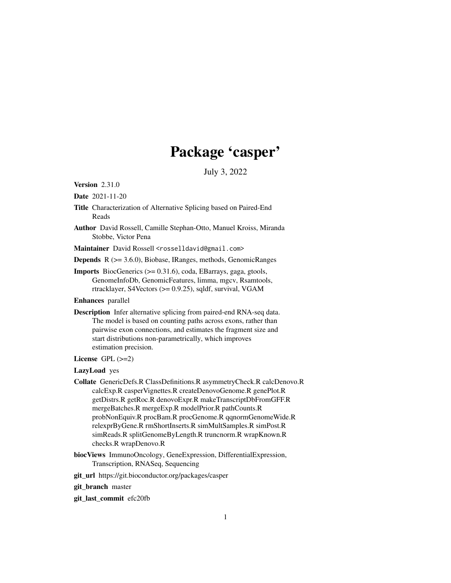# Package 'casper'

July 3, 2022

Version 2.31.0

Date 2021-11-20

- Title Characterization of Alternative Splicing based on Paired-End Reads
- Author David Rossell, Camille Stephan-Otto, Manuel Kroiss, Miranda Stobbe, Victor Pena

Maintainer David Rossell <rosselldavid@gmail.com>

Depends R (>= 3.6.0), Biobase, IRanges, methods, GenomicRanges

Imports BiocGenerics (>= 0.31.6), coda, EBarrays, gaga, gtools, GenomeInfoDb, GenomicFeatures, limma, mgcv, Rsamtools, rtracklayer, S4Vectors (>= 0.9.25), sqldf, survival, VGAM

Enhances parallel

Description Infer alternative splicing from paired-end RNA-seq data. The model is based on counting paths across exons, rather than pairwise exon connections, and estimates the fragment size and start distributions non-parametrically, which improves estimation precision.

# License  $GPL$  ( $>=2$ )

LazyLoad yes

- Collate GenericDefs.R ClassDefinitions.R asymmetryCheck.R calcDenovo.R calcExp.R casperVignettes.R createDenovoGenome.R genePlot.R getDistrs.R getRoc.R denovoExpr.R makeTranscriptDbFromGFF.R mergeBatches.R mergeExp.R modelPrior.R pathCounts.R probNonEquiv.R procBam.R procGenome.R qqnormGenomeWide.R relexprByGene.R rmShortInserts.R simMultSamples.R simPost.R simReads.R splitGenomeByLength.R truncnorm.R wrapKnown.R checks.R wrapDenovo.R
- biocViews ImmunoOncology, GeneExpression, DifferentialExpression, Transcription, RNASeq, Sequencing

git\_url https://git.bioconductor.org/packages/casper

git\_branch master

git\_last\_commit efc20fb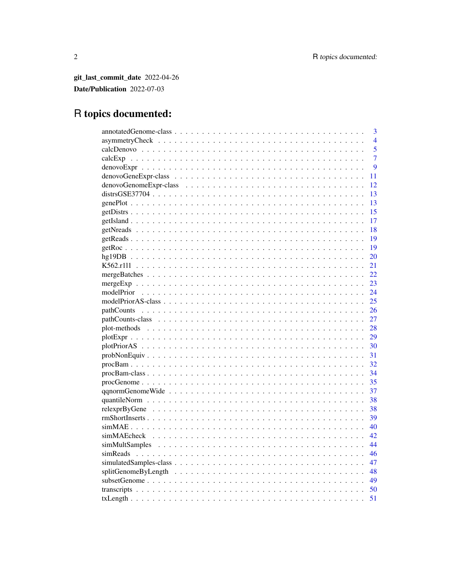git\_last\_commit\_date 2022-04-26 Date/Publication 2022-07-03

# R topics documented: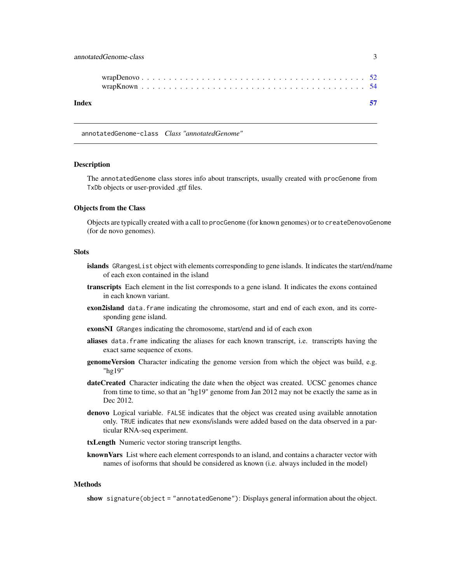<span id="page-2-0"></span>

| Index |  |
|-------|--|

annotatedGenome-class *Class "annotatedGenome"*

#### Description

The annotatedGenome class stores info about transcripts, usually created with procGenome from TxDb objects or user-provided .gtf files.

#### Objects from the Class

Objects are typically created with a call to procGenome (for known genomes) or to createDenovoGenome (for de novo genomes).

#### Slots

- islands GRangesList object with elements corresponding to gene islands. It indicates the start/end/name of each exon contained in the island
- transcripts Each element in the list corresponds to a gene island. It indicates the exons contained in each known variant.
- exon2island data.frame indicating the chromosome, start and end of each exon, and its corresponding gene island.
- exonsNI GRanges indicating the chromosome, start/end and id of each exon
- aliases data.frame indicating the aliases for each known transcript, i.e. transcripts having the exact same sequence of exons.
- **genomeVersion** Character indicating the genome version from which the object was build, e.g. "hg19"
- dateCreated Character indicating the date when the object was created. UCSC genomes chance from time to time, so that an "hg19" genome from Jan 2012 may not be exactly the same as in Dec 2012.
- denovo Logical variable. FALSE indicates that the object was created using available annotation only. TRUE indicates that new exons/islands were added based on the data observed in a particular RNA-seq experiment.

txLength Numeric vector storing transcript lengths.

known Vars List where each element corresponds to an island, and contains a character vector with names of isoforms that should be considered as known (i.e. always included in the model)

#### Methods

show signature(object = "annotatedGenome"): Displays general information about the object.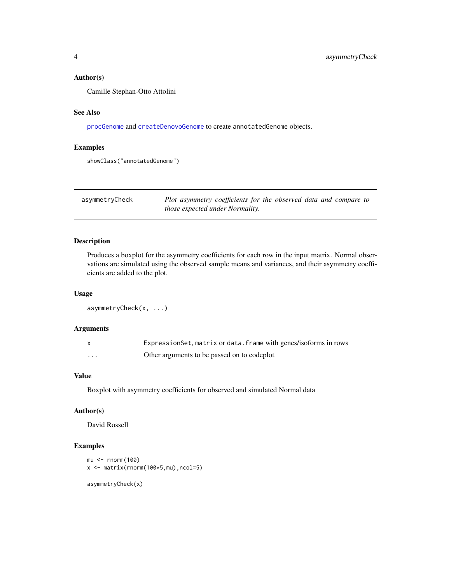# <span id="page-3-0"></span>Author(s)

Camille Stephan-Otto Attolini

#### See Also

[procGenome](#page-34-1) and [createDenovoGenome](#page-34-2) to create annotatedGenome objects.

# Examples

showClass("annotatedGenome")

| asymmetryCheck | Plot asymmetry coefficients for the observed data and compare to |
|----------------|------------------------------------------------------------------|
|                | <i>those expected under Normality.</i>                           |

# Description

Produces a boxplot for the asymmetry coefficients for each row in the input matrix. Normal observations are simulated using the observed sample means and variances, and their asymmetry coefficients are added to the plot.

#### Usage

```
asymmetryCheck(x, ...)
```
# Arguments

|         | Expression Set, matrix or data. frame with genes/isoforms in rows |
|---------|-------------------------------------------------------------------|
| $\cdot$ | Other arguments to be passed on to codeplot                       |

# Value

Boxplot with asymmetry coefficients for observed and simulated Normal data

# Author(s)

David Rossell

```
mu < -rnorm(100)x <- matrix(rnorm(100*5,mu),ncol=5)
asymmetryCheck(x)
```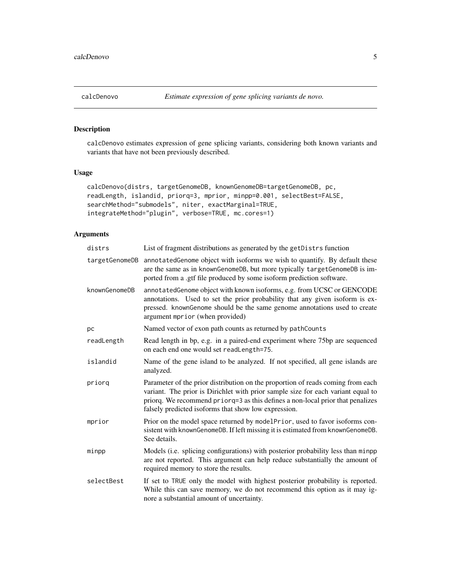# <span id="page-4-1"></span><span id="page-4-0"></span>Description

calcDenovo estimates expression of gene splicing variants, considering both known variants and variants that have not been previously described.

#### Usage

```
calcDenovo(distrs, targetGenomeDB, knownGenomeDB=targetGenomeDB, pc,
readLength, islandid, priorq=3, mprior, minpp=0.001, selectBest=FALSE,
searchMethod="submodels", niter, exactMarginal=TRUE,
integrateMethod="plugin", verbose=TRUE, mc.cores=1)
```

| distrs         | List of fragment distributions as generated by the getDistrs function                                                                                                                                                                                                                                         |
|----------------|---------------------------------------------------------------------------------------------------------------------------------------------------------------------------------------------------------------------------------------------------------------------------------------------------------------|
| targetGenomeDB | annotatedGenome object with isoforms we wish to quantify. By default these<br>are the same as in knownGenomeDB, but more typically targetGenomeDB is im-<br>ported from a .gtf file produced by some isoform prediction software.                                                                             |
| knownGenomeDB  | annotatedGenome object with known isoforms, e.g. from UCSC or GENCODE<br>annotations. Used to set the prior probability that any given isoform is ex-<br>pressed. knownGenome should be the same genome annotations used to create<br>argument mprior (when provided)                                         |
| pc             | Named vector of exon path counts as returned by path Counts                                                                                                                                                                                                                                                   |
| readLength     | Read length in bp, e.g. in a paired-end experiment where 75bp are sequenced<br>on each end one would set readLength=75.                                                                                                                                                                                       |
| islandid       | Name of the gene island to be analyzed. If not specified, all gene islands are<br>analyzed.                                                                                                                                                                                                                   |
| priorq         | Parameter of the prior distribution on the proportion of reads coming from each<br>variant. The prior is Dirichlet with prior sample size for each variant equal to<br>priorq. We recommend priorq=3 as this defines a non-local prior that penalizes<br>falsely predicted isoforms that show low expression. |
| mprior         | Prior on the model space returned by modelPrior, used to favor isoforms con-<br>sistent with knownGenomeDB. If left missing it is estimated from knownGenomeDB.<br>See details.                                                                                                                               |
| minpp          | Models (i.e. splicing configurations) with posterior probability less than minpp<br>are not reported. This argument can help reduce substantially the amount of<br>required memory to store the results.                                                                                                      |
| selectBest     | If set to TRUE only the model with highest posterior probability is reported.<br>While this can save memory, we do not recommend this option as it may ig-<br>nore a substantial amount of uncertainty.                                                                                                       |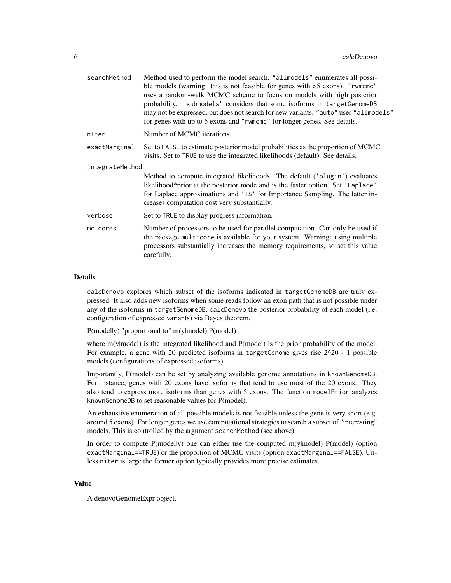| searchMethod    | Method used to perform the model search. "allmodels" enumerates all possi-<br>ble models (warning: this is not feasible for genes with $>5$ exons). "rwmcmc"<br>uses a random-walk MCMC scheme to focus on models with high posterior<br>probability. "submodels" considers that some isoforms in targetGenomeDB<br>may not be expressed, but does not search for new variants. "auto" uses "allmodels"<br>for genes with up to 5 exons and "rwmcmc" for longer genes. See details. |
|-----------------|-------------------------------------------------------------------------------------------------------------------------------------------------------------------------------------------------------------------------------------------------------------------------------------------------------------------------------------------------------------------------------------------------------------------------------------------------------------------------------------|
| niter           | Number of MCMC iterations.                                                                                                                                                                                                                                                                                                                                                                                                                                                          |
| exactMarginal   | Set to FALSE to estimate posterior model probabilities as the proportion of MCMC<br>visits. Set to TRUE to use the integrated likelihoods (default). See details.                                                                                                                                                                                                                                                                                                                   |
| integrateMethod |                                                                                                                                                                                                                                                                                                                                                                                                                                                                                     |
|                 | Method to compute integrated likelihoods. The default ('plugin') evaluates<br>likelihood*prior at the posterior mode and is the faster option. Set 'Laplace'<br>for Laplace approximations and 'IS' for Importance Sampling. The latter in-<br>creases computation cost very substantially.                                                                                                                                                                                         |
| verbose         | Set to TRUE to display progress information.                                                                                                                                                                                                                                                                                                                                                                                                                                        |
| mc.cores        | Number of processors to be used for parallel computation. Can only be used if<br>the package multicore is available for your system. Warning: using multiple<br>processors substantially increases the memory requirements, so set this value<br>carefully.                                                                                                                                                                                                                         |
|                 |                                                                                                                                                                                                                                                                                                                                                                                                                                                                                     |

#### Details

calcDenovo explores which subset of the isoforms indicated in targetGenomeDB are truly expressed. It also adds new isoforms when some reads follow an exon path that is not possible under any of the isoforms in targetGenomeDB. calcDenovo the posterior probability of each model (i.e. configuration of expressed variants) via Bayes theorem.

P(model|y) "proportional to" m(y|model) P(model)

where m(ylmodel) is the integrated likelihood and P(model) is the prior probability of the model. For example, a gene with 20 predicted isoforms in targetGenome gives rise  $2^2$ 0 - 1 possible models (configurations of expressed isoforms).

Importantly, P(model) can be set by analyzing available genome annotations in knownGenomeDB. For instance, genes with 20 exons have isoforms that tend to use most of the 20 exons. They also tend to express more isoforms than genes with 5 exons. The function modelPrior analyzes knownGenomeDB to set reasonable values for P(model).

An exhaustive enumeration of all possible models is not feasible unless the gene is very short (e.g. around 5 exons). For longer genes we use computational strategies to search a subset of "interesting" models. This is controlled by the argument searchMethod (see above).

In order to compute P(modelly) one can either use the computed m(ylmodel) P(model) (option exactMarginal==TRUE) or the proportion of MCMC visits (option exactMarginal==FALSE). Unless niter is large the former option typically provides more precise estimates.

#### Value

A denovoGenomeExpr object.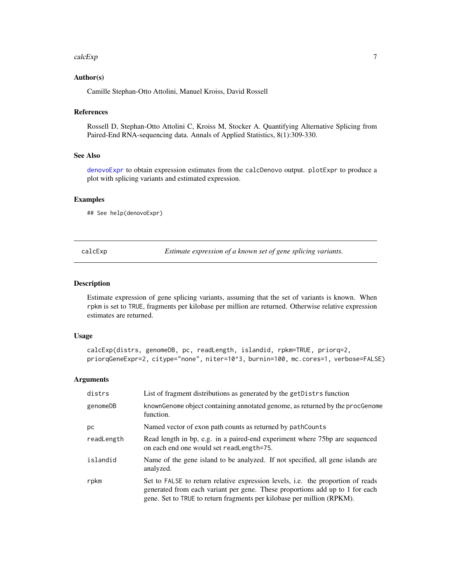#### <span id="page-6-0"></span>calcExp 7

# Author(s)

Camille Stephan-Otto Attolini, Manuel Kroiss, David Rossell

#### References

Rossell D, Stephan-Otto Attolini C, Kroiss M, Stocker A. Quantifying Alternative Splicing from Paired-End RNA-sequencing data. Annals of Applied Statistics, 8(1):309-330.

#### See Also

[denovoExpr](#page-8-1) to obtain expression estimates from the calcDenovo output. plotExpr to produce a plot with splicing variants and estimated expression.

# Examples

## See help(denovoExpr)

calcExp *Estimate expression of a known set of gene splicing variants.*

# Description

Estimate expression of gene splicing variants, assuming that the set of variants is known. When rpkm is set to TRUE, fragments per kilobase per million are returned. Otherwise relative expression estimates are returned.

#### Usage

```
calcExp(distrs, genomeDB, pc, readLength, islandid, rpkm=TRUE, priorq=2,
priorqGeneExpr=2, citype="none", niter=10^3, burnin=100, mc.cores=1, verbose=FALSE)
```

| distrs     | List of fragment distributions as generated by the get Distrs function                                                                                                                                                                    |
|------------|-------------------------------------------------------------------------------------------------------------------------------------------------------------------------------------------------------------------------------------------|
| genomeDB   | known Genome object containing annotated genome, as returned by the procGenome<br>function.                                                                                                                                               |
| рc         | Named vector of exon path counts as returned by pathCounts                                                                                                                                                                                |
| readLength | Read length in bp, e.g. in a paired-end experiment where 75bp are sequenced<br>on each end one would set readLength=75.                                                                                                                   |
| islandid   | Name of the gene island to be analyzed. If not specified, all gene islands are<br>analyzed.                                                                                                                                               |
| rpkm       | Set to FALSE to return relative expression levels, i.e. the proportion of reads<br>generated from each variant per gene. These proportions add up to 1 for each<br>gene. Set to TRUE to return fragments per kilobase per million (RPKM). |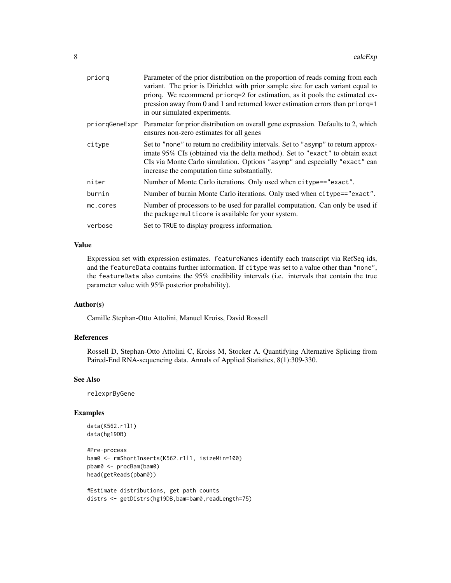| priorq         | Parameter of the prior distribution on the proportion of reads coming from each<br>variant. The prior is Dirichlet with prior sample size for each variant equal to<br>priorg. We recommend priorg=2 for estimation, as it pools the estimated ex-<br>pression away from 0 and 1 and returned lower estimation errors than priorq=1<br>in our simulated experiments. |
|----------------|----------------------------------------------------------------------------------------------------------------------------------------------------------------------------------------------------------------------------------------------------------------------------------------------------------------------------------------------------------------------|
| priorgGeneExpr | Parameter for prior distribution on overall gene expression. Defaults to 2, which<br>ensures non-zero estimates for all genes                                                                                                                                                                                                                                        |
| citype         | Set to "none" to return no credibility intervals. Set to "asymp" to return approx-<br>imate 95% CIs (obtained via the delta method). Set to "exact" to obtain exact<br>CIs via Monte Carlo simulation. Options "asymp" and especially "exact" can<br>increase the computation time substantially.                                                                    |
| niter          | Number of Monte Carlo iterations. Only used when citype=="exact".                                                                                                                                                                                                                                                                                                    |
| burnin         | Number of burnin Monte Carlo iterations. Only used when citype=="exact".                                                                                                                                                                                                                                                                                             |
| mc.cores       | Number of processors to be used for parallel computation. Can only be used if<br>the package multicore is available for your system.                                                                                                                                                                                                                                 |
| verbose        | Set to TRUE to display progress information.                                                                                                                                                                                                                                                                                                                         |

#### Value

Expression set with expression estimates. featureNames identify each transcript via RefSeq ids, and the featureData contains further information. If citype was set to a value other than "none", the featureData also contains the 95% credibility intervals (i.e. intervals that contain the true parameter value with 95% posterior probability).

#### Author(s)

Camille Stephan-Otto Attolini, Manuel Kroiss, David Rossell

#### References

Rossell D, Stephan-Otto Attolini C, Kroiss M, Stocker A. Quantifying Alternative Splicing from Paired-End RNA-sequencing data. Annals of Applied Statistics, 8(1):309-330.

#### See Also

relexprByGene

```
data(K562.r1l1)
data(hg19DB)
```

```
#Pre-process
bam0 <- rmShortInserts(K562.r1l1, isizeMin=100)
pbam0 <- procBam(bam0)
head(getReads(pbam0))
```

```
#Estimate distributions, get path counts
distrs <- getDistrs(hg19DB,bam=bam0,readLength=75)
```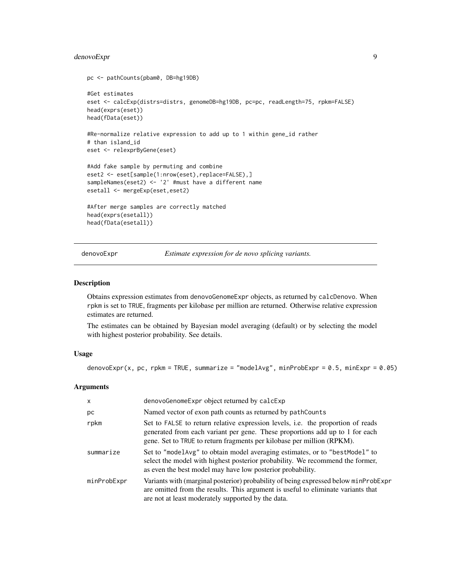# <span id="page-8-0"></span>denovoExpr 9

```
pc <- pathCounts(pbam0, DB=hg19DB)
#Get estimates
eset <- calcExp(distrs=distrs, genomeDB=hg19DB, pc=pc, readLength=75, rpkm=FALSE)
head(exprs(eset))
head(fData(eset))
#Re-normalize relative expression to add up to 1 within gene_id rather
# than island_id
eset <- relexprByGene(eset)
#Add fake sample by permuting and combine
eset2 <- eset[sample(1:nrow(eset),replace=FALSE),]
sampleNames(eset2) <- '2' #must have a different name
esetall <- mergeExp(eset,eset2)
#After merge samples are correctly matched
head(exprs(esetall))
head(fData(esetall))
```
<span id="page-8-1"></span>denovoExpr *Estimate expression for de novo splicing variants.*

#### Description

Obtains expression estimates from denovoGenomeExpr objects, as returned by calcDenovo. When rpkm is set to TRUE, fragments per kilobase per million are returned. Otherwise relative expression estimates are returned.

The estimates can be obtained by Bayesian model averaging (default) or by selecting the model with highest posterior probability. See details.

# Usage

```
denovoExpr(x, pc, rpkm = TRUE, summarize = "modelAvg", minProbExpr = 0.5, minExpr = 0.05)
```

| $\times$    | denovoGenomeExpr object returned by calcExp                                                                                                                                                                                               |
|-------------|-------------------------------------------------------------------------------------------------------------------------------------------------------------------------------------------------------------------------------------------|
| рc          | Named vector of exon path counts as returned by path Counts                                                                                                                                                                               |
| rpkm        | Set to FALSE to return relative expression levels, i.e. the proportion of reads<br>generated from each variant per gene. These proportions add up to 1 for each<br>gene. Set to TRUE to return fragments per kilobase per million (RPKM). |
| summarize   | Set to "modelarg" to obtain model averaging estimates, or to "best Model" to<br>select the model with highest posterior probability. We recommend the former,<br>as even the best model may have low posterior probability.               |
| minProbExpr | Variants with (marginal posterior) probability of being expressed below minProbExpr<br>are omitted from the results. This argument is useful to eliminate variants that<br>are not at least moderately supported by the data.             |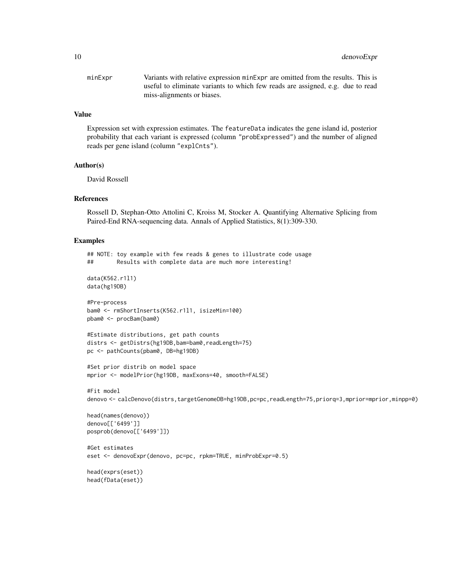minExpr Variants with relative expression minExpr are omitted from the results. This is useful to eliminate variants to which few reads are assigned, e.g. due to read miss-alignments or biases.

#### Value

Expression set with expression estimates. The featureData indicates the gene island id, posterior probability that each variant is expressed (column "probExpressed") and the number of aligned reads per gene island (column "explCnts").

# Author(s)

David Rossell

# References

Rossell D, Stephan-Otto Attolini C, Kroiss M, Stocker A. Quantifying Alternative Splicing from Paired-End RNA-sequencing data. Annals of Applied Statistics, 8(1):309-330.

```
## NOTE: toy example with few reads & genes to illustrate code usage
## Results with complete data are much more interesting!
data(K562.r1l1)
data(hg19DB)
#Pre-process
bam0 <- rmShortInserts(K562.r1l1, isizeMin=100)
pbam0 <- procBam(bam0)
#Estimate distributions, get path counts
distrs <- getDistrs(hg19DB,bam=bam0,readLength=75)
pc <- pathCounts(pbam0, DB=hg19DB)
#Set prior distrib on model space
mprior <- modelPrior(hg19DB, maxExons=40, smooth=FALSE)
```

```
#Fit model
denovo <- calcDenovo(distrs,targetGenomeDB=hg19DB,pc=pc,readLength=75,priorq=3,mprior=mprior,minpp=0)
```

```
head(names(denovo))
denovo[['6499']]
posprob(denovo[['6499']])
```

```
#Get estimates
eset <- denovoExpr(denovo, pc=pc, rpkm=TRUE, minProbExpr=0.5)
```

```
head(exprs(eset))
head(fData(eset))
```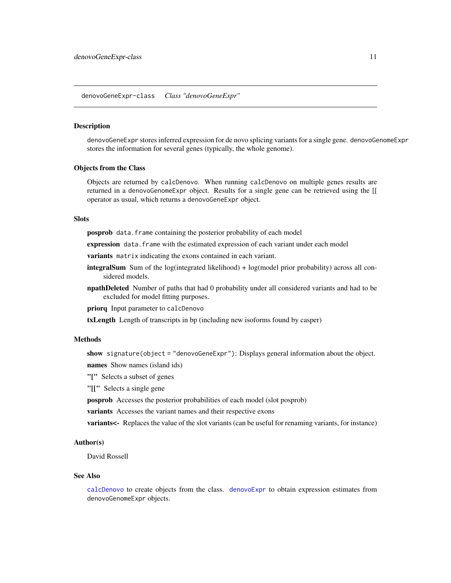<span id="page-10-0"></span>denovoGeneExpr-class *Class "denovoGeneExpr"*

#### **Description**

denovoGeneExpr stores inferred expression for de novo splicing variants for a single gene. denovoGenomeExpr stores the information for several genes (typically, the whole genome).

#### Objects from the Class

Objects are returned by calcDenovo. When running calcDenovo on multiple genes results are returned in a denovoGenomeExpr object. Results for a single gene can be retrieved using the [[ operator as usual, which returns a denovoGeneExpr object.

# Slots

posprob data.frame containing the posterior probability of each model

expression data. frame with the estimated expression of each variant under each model

variants matrix indicating the exons contained in each variant.

- integralSum Sum of the log(integrated likelihood) + log(model prior probability) across all considered models.
- npathDeleted Number of paths that had 0 probability under all considered variants and had to be excluded for model fitting purposes.

priorq Input parameter to calcDenovo

txLength Length of transcripts in bp (including new isoforms found by casper)

#### Methods

show signature(object = "denovoGeneExpr"): Displays general information about the object. names Show names (island ids)

"[" Selects a subset of genes

"[[" Selects a single gene

posprob Accesses the posterior probabilities of each model (slot posprob)

variants Accesses the variant names and their respective exons

variants<- Replaces the value of the slot variants (can be useful for renaming variants, for instance)

#### Author(s)

David Rossell

#### See Also

[calcDenovo](#page-4-1) to create objects from the class. [denovoExpr](#page-8-1) to obtain expression estimates from denovoGenomeExpr objects.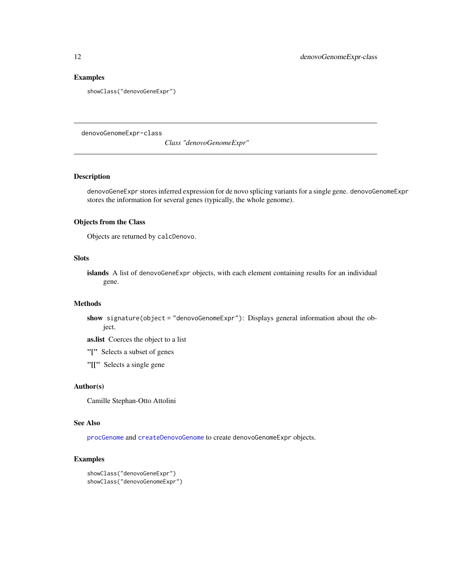# Examples

showClass("denovoGeneExpr")

denovoGenomeExpr-class

*Class "denovoGenomeExpr"*

# Description

denovoGeneExpr stores inferred expression for de novo splicing variants for a single gene. denovoGenomeExpr stores the information for several genes (typically, the whole genome).

#### Objects from the Class

Objects are returned by calcDenovo.

#### Slots

islands A list of denovoGeneExpr objects, with each element containing results for an individual gene.

#### Methods

show signature(object = "denovoGenomeExpr"): Displays general information about the object.

as.list Coerces the object to a list

"[" Selects a subset of genes

"[[" Selects a single gene

#### Author(s)

Camille Stephan-Otto Attolini

#### See Also

[procGenome](#page-34-1) and [createDenovoGenome](#page-34-2) to create denovoGenomeExpr objects.

```
showClass("denovoGeneExpr")
showClass("denovoGenomeExpr")
```
<span id="page-11-0"></span>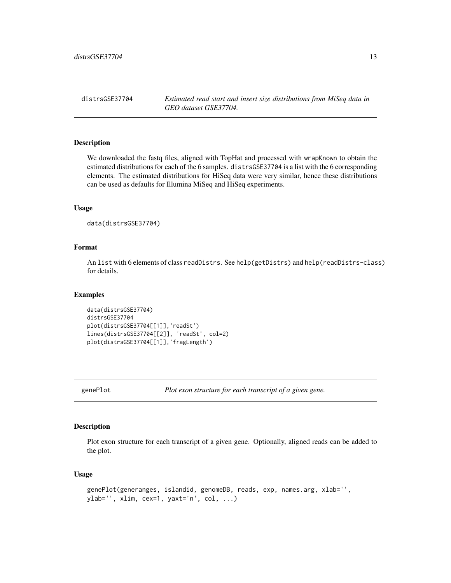<span id="page-12-0"></span>distrsGSE37704 *Estimated read start and insert size distributions from MiSeq data in GEO dataset GSE37704.*

#### Description

We downloaded the fastq files, aligned with TopHat and processed with wrapKnown to obtain the estimated distributions for each of the 6 samples. distrsGSE37704 is a list with the 6 corresponding elements. The estimated distributions for HiSeq data were very similar, hence these distributions can be used as defaults for Illumina MiSeq and HiSeq experiments.

#### Usage

```
data(distrsGSE37704)
```
# Format

An list with 6 elements of class readDistrs. See help(getDistrs) and help(readDistrs-class) for details.

# Examples

```
data(distrsGSE37704)
distrsGSE37704
plot(distrsGSE37704[[1]],'readSt')
lines(distrsGSE37704[[2]], 'readSt', col=2)
plot(distrsGSE37704[[1]],'fragLength')
```
genePlot *Plot exon structure for each transcript of a given gene.*

# Description

Plot exon structure for each transcript of a given gene. Optionally, aligned reads can be added to the plot.

#### Usage

```
genePlot(generanges, islandid, genomeDB, reads, exp, names.arg, xlab='',
ylab='', xlim, cex=1, yaxt='n', col, ...)
```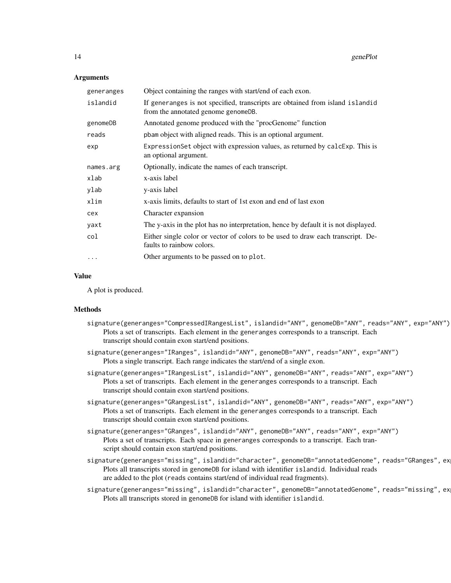#### Arguments

| generanges | Object containing the ranges with start/end of each exon.                                                            |
|------------|----------------------------------------------------------------------------------------------------------------------|
| islandid   | If generanges is not specified, transcripts are obtained from island islandid<br>from the annotated genome genomeDB. |
| genomeDB   | Annotated genome produced with the "procGenome" function                                                             |
| reads      | pbam object with aligned reads. This is an optional argument.                                                        |
| exp        | Expression Set object with expression values, as returned by calcExp. This is<br>an optional argument.               |
| names.arg  | Optionally, indicate the names of each transcript.                                                                   |
| xlab       | x-axis label                                                                                                         |
| ylab       | y-axis label                                                                                                         |
| xlim       | x-axis limits, defaults to start of 1st exon and end of last exon                                                    |
| cex        | Character expansion                                                                                                  |
| yaxt       | The y-axis in the plot has no interpretation, hence by default it is not displayed.                                  |
| col        | Either single color or vector of colors to be used to draw each transcript. De-<br>faults to rainbow colors.         |
| $\cdots$   | Other arguments to be passed on to plot.                                                                             |

#### Value

A plot is produced.

#### Methods

- signature(generanges="CompressedIRangesList", islandid="ANY", genomeDB="ANY", reads="ANY", exp="ANY") Plots a set of transcripts. Each element in the generanges corresponds to a transcript. Each transcript should contain exon start/end positions.
- signature(generanges="IRanges", islandid="ANY", genomeDB="ANY", reads="ANY", exp="ANY") Plots a single transcript. Each range indicates the start/end of a single exon.
- signature(generanges="IRangesList", islandid="ANY", genomeDB="ANY", reads="ANY", exp="ANY") Plots a set of transcripts. Each element in the generanges corresponds to a transcript. Each transcript should contain exon start/end positions.
- signature(generanges="GRangesList", islandid="ANY", genomeDB="ANY", reads="ANY", exp="ANY") Plots a set of transcripts. Each element in the generanges corresponds to a transcript. Each transcript should contain exon start/end positions.
- signature(generanges="GRanges", islandid="ANY", genomeDB="ANY", reads="ANY", exp="ANY") Plots a set of transcripts. Each space in generanges corresponds to a transcript. Each transcript should contain exon start/end positions.
- signature(generanges="missing", islandid="character", genomeDB="annotatedGenome", reads="GRanges", ex Plots all transcripts stored in genomeDB for island with identifier islandid. Individual reads are added to the plot (reads contains start/end of individual read fragments).
- signature(generanges="missing", islandid="character", genomeDB="annotatedGenome", reads="missing", ex Plots all transcripts stored in genomeDB for island with identifier islandid.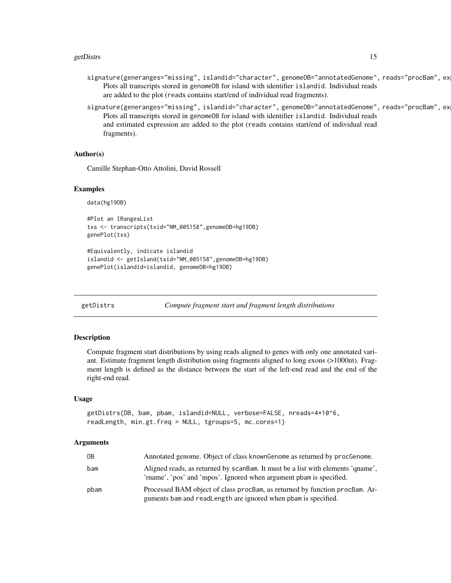#### <span id="page-14-0"></span>getDistrs 15

- signature(generanges="missing", islandid="character", genomeDB="annotatedGenome", reads="procBam", ex Plots all transcripts stored in genomeDB for island with identifier islandid. Individual reads are added to the plot (reads contains start/end of individual read fragments).
- signature(generanges="missing", islandid="character", genomeDB="annotatedGenome", reads="procBam", ex Plots all transcripts stored in genomeDB for island with identifier islandid. Individual reads and estimated expression are added to the plot (reads contains start/end of individual read fragments).

#### Author(s)

Camille Stephan-Otto Attolini, David Rossell

#### Examples

data(hg19DB)

```
#Plot an IRangesList
txs <- transcripts(txid="NM_005158",genomeDB=hg19DB)
genePlot(txs)
```

```
#Equivalently, indicate islandid
islandid <- getIsland(txid="NM_005158",genomeDB=hg19DB)
genePlot(islandid=islandid, genomeDB=hg19DB)
```
getDistrs *Compute fragment start and fragment length distributions*

#### Description

Compute fragment start distributions by using reads aligned to genes with only one annotated variant. Estimate fragment length distribution using fragments aligned to long exons (>1000nt). Fragment length is defined as the distance between the start of the left-end read and the end of the right-end read.

#### Usage

```
getDistrs(DB, bam, pbam, islandid=NULL, verbose=FALSE, nreads=4*10^6,
readLength, min.gt.freq = NULL, tgroups=5, mc.cores=1)
```

| DB   | Annotated genome. Object of class known Genome as returned by procGenome.                                                                              |
|------|--------------------------------------------------------------------------------------------------------------------------------------------------------|
| bam  | Aligned reads, as returned by scandam. It must be a list with elements 'quame',<br>'rname', 'pos' and 'mpos'. Ignored when argument pbam is specified. |
| pbam | Processed BAM object of class procBam, as returned by function procBam. Ar-<br>guments bam and readLength are ignored when pbam is specified.          |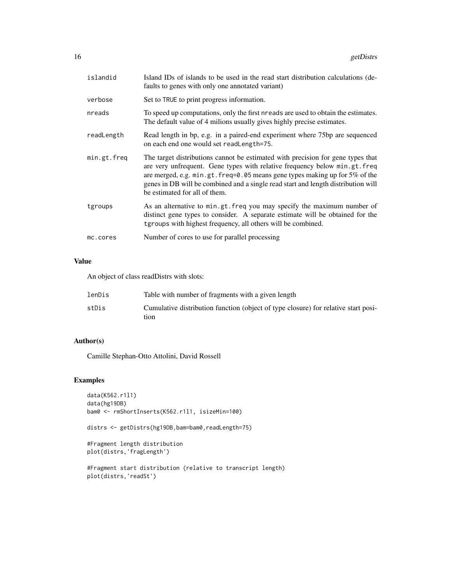| islandid    | Island IDs of islands to be used in the read start distribution calculations (de-<br>faults to genes with only one annotated variant)                                                                                                                                                                                                                            |
|-------------|------------------------------------------------------------------------------------------------------------------------------------------------------------------------------------------------------------------------------------------------------------------------------------------------------------------------------------------------------------------|
| verbose     | Set to TRUE to print progress information.                                                                                                                                                                                                                                                                                                                       |
| nreads      | To speed up computations, only the first nreads are used to obtain the estimates.<br>The default value of 4 milions usually gives highly precise estimates.                                                                                                                                                                                                      |
| readLength  | Read length in bp, e.g. in a paired-end experiment where 75bp are sequenced<br>on each end one would set readLength=75.                                                                                                                                                                                                                                          |
| min.gt.freq | The target distributions cannot be estimated with precision for gene types that<br>are very unfrequent. Gene types with relative frequency below min.gt.freq<br>are merged, e.g. min.gt.freq=0.05 means gene types making up for 5% of the<br>genes in DB will be combined and a single read start and length distribution will<br>be estimated for all of them. |
| tgroups     | As an alternative to min.gt.freq you may specify the maximum number of<br>distinct gene types to consider. A separate estimate will be obtained for the<br>tgroups with highest frequency, all others will be combined.                                                                                                                                          |
| mc.cores    | Number of cores to use for parallel processing                                                                                                                                                                                                                                                                                                                   |

# Value

An object of class readDistrs with slots:

| lenDis | Table with number of fragments with a given length                                         |
|--------|--------------------------------------------------------------------------------------------|
| stDis  | Cumulative distribution function (object of type closure) for relative start posi-<br>tion |

# Author(s)

Camille Stephan-Otto Attolini, David Rossell

```
data(K562.r1l1)
data(hg19DB)
bam0 <- rmShortInserts(K562.r1l1, isizeMin=100)
```

```
distrs <- getDistrs(hg19DB,bam=bam0,readLength=75)
```

```
#Fragment length distribution
plot(distrs,'fragLength')
```

```
#Fragment start distribution (relative to transcript length)
plot(distrs,'readSt')
```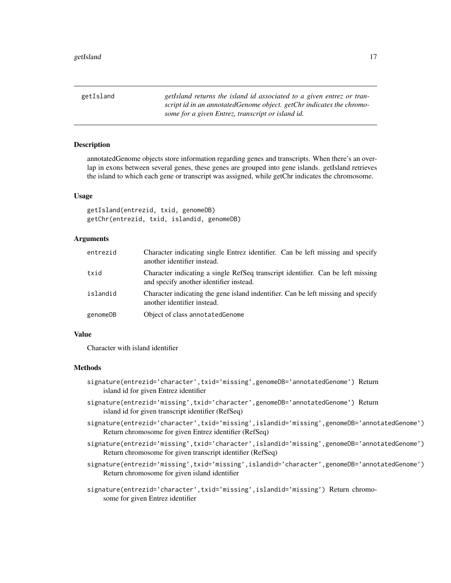<span id="page-16-0"></span>getIsland *getIsland returns the island id associated to a given entrez or transcript id in an annotatedGenome object. getChr indicates the chromosome for a given Entrez, transcript or island id.*

# Description

annotatedGenome objects store information regarding genes and transcripts. When there's an overlap in exons between several genes, these genes are grouped into gene islands. getIsland retrieves the island to which each gene or transcript was assigned, while getChr indicates the chromosome.

#### Usage

getIsland(entrezid, txid, genomeDB) getChr(entrezid, txid, islandid, genomeDB)

# Arguments

| entrezid | Character indicating single Entrez identifier. Can be left missing and specify<br>another identifier instead.              |
|----------|----------------------------------------------------------------------------------------------------------------------------|
| txid     | Character indicating a single RefSeq transcript identifier. Can be left missing<br>and specify another identifier instead. |
| islandid | Character indicating the gene island indentifier. Can be left missing and specify<br>another identifier instead.           |
| genomeDB | Object of class annotated Genome                                                                                           |

#### Value

Character with island identifier

# Methods

- signature(entrezid='character',txid='missing',genomeDB='annotatedGenome') Return island id for given Entrez identifier
- signature(entrezid='missing',txid='character',genomeDB='annotatedGenome') Return island id for given transcript identifier (RefSeq)
- signature(entrezid='character',txid='missing',islandid='missing',genomeDB='annotatedGenome') Return chromosome for given Entrez identifier (RefSeq)
- signature(entrezid='missing',txid='character',islandid='missing',genomeDB='annotatedGenome') Return chromosome for given transcript identifier (RefSeq)
- signature(entrezid='missing',txid='missing',islandid='character',genomeDB='annotatedGenome') Return chromosome for given island identifier

signature(entrezid='character',txid='missing',islandid='missing') Return chromosome for given Entrez identifier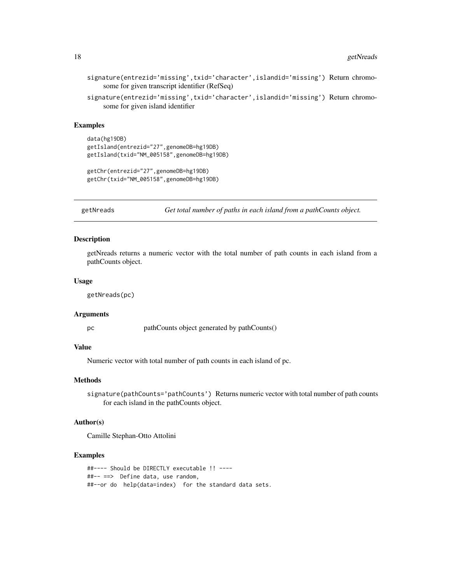signature(entrezid='missing',txid='character',islandid='missing') Return chromosome for given transcript identifier (RefSeq)

signature(entrezid='missing',txid='character',islandid='missing') Return chromosome for given island identifier

#### Examples

```
data(hg19DB)
getIsland(entrezid="27",genomeDB=hg19DB)
getIsland(txid="NM_005158",genomeDB=hg19DB)
```

```
getChr(entrezid="27",genomeDB=hg19DB)
getChr(txid="NM_005158",genomeDB=hg19DB)
```
getNreads *Get total number of paths in each island from a pathCounts object.*

# Description

getNreads returns a numeric vector with the total number of path counts in each island from a pathCounts object.

#### Usage

getNreads(pc)

#### Arguments

pc pathCounts object generated by pathCounts()

# Value

Numeric vector with total number of path counts in each island of pc.

### Methods

signature(pathCounts='pathCounts') Returns numeric vector with total number of path counts for each island in the pathCounts object.

#### Author(s)

Camille Stephan-Otto Attolini

```
##---- Should be DIRECTLY executable !! ----
##-- ==> Define data, use random,
##--or do help(data=index) for the standard data sets.
```
<span id="page-17-0"></span>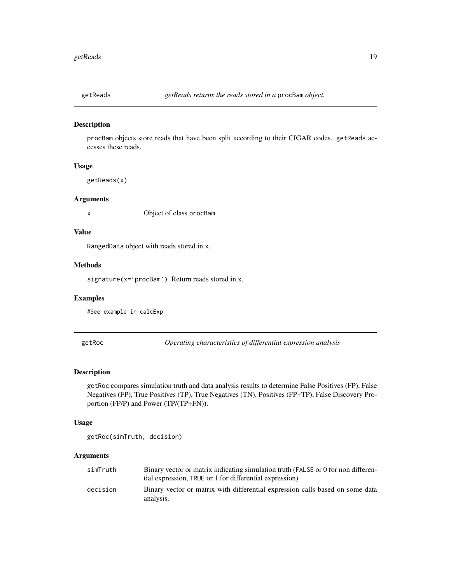<span id="page-18-0"></span>

#### Description

procBam objects store reads that have been split according to their CIGAR codes. getReads accesses these reads.

# Usage

getReads(x)

# Arguments

x Object of class procBam

# Value

RangedData object with reads stored in x.

# Methods

signature(x='procBam') Return reads stored in x.

#### Examples

#See example in calcExp

getRoc *Operating characteristics of differential expression analysis*

# Description

getRoc compares simulation truth and data analysis results to determine False Positives (FP), False Negatives (FP), True Positives (TP), True Negatives (TN), Positives (FP+TP), False Discovery Proportion (FP/P) and Power (TP/(TP+FN)).

#### Usage

getRoc(simTruth, decision)

| simTruth | Binary vector or matrix indicating simulation truth (FALSE or 0 for non differen-          |
|----------|--------------------------------------------------------------------------------------------|
|          | tial expression. TRUE or 1 for differential expression)                                    |
| decision | Binary vector or matrix with differential expression calls based on some data<br>analysis. |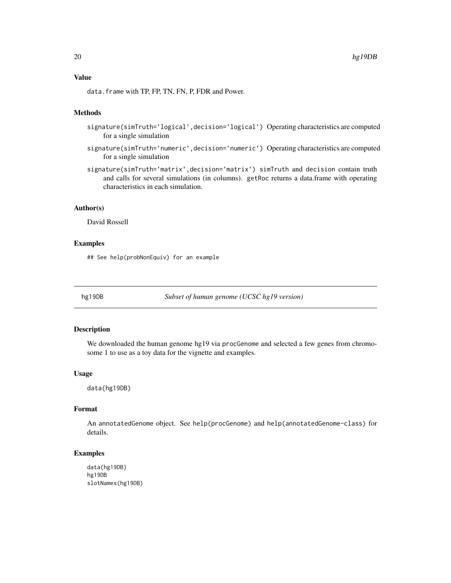<span id="page-19-0"></span>data. frame with TP, FP, TN, FN, P, FDR and Power.

# Methods

- signature(simTruth='logical',decision='logical') Operating characteristics are computed for a single simulation
- signature(simTruth='numeric',decision='numeric') Operating characteristics are computed for a single simulation
- signature(simTruth='matrix',decision='matrix') simTruth and decision contain truth and calls for several simulations (in columns). getRoc returns a data.frame with operating characteristics in each simulation.

#### Author(s)

David Rossell

# Examples

## See help(probNonEquiv) for an example

hg19DB *Subset of human genome (UCSC hg19 version)*

#### Description

We downloaded the human genome hg19 via procGenome and selected a few genes from chromosome 1 to use as a toy data for the vignette and examples.

#### Usage

data(hg19DB)

# Format

An annotatedGenome object. See help(procGenome) and help(annotatedGenome-class) for details.

```
data(hg19DB)
hg19DB
slotNames(hg19DB)
```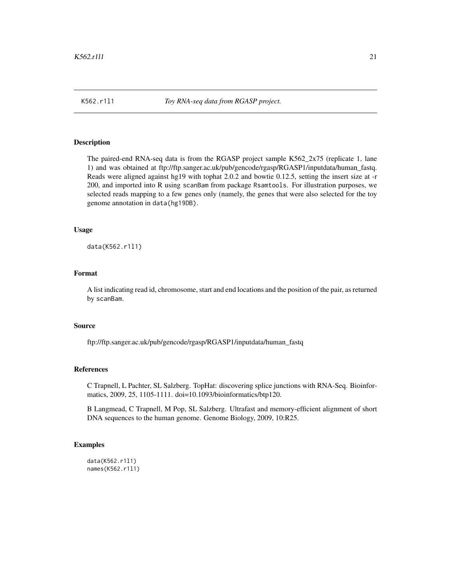# <span id="page-20-0"></span>**Description**

The paired-end RNA-seq data is from the RGASP project sample K562\_2x75 (replicate 1, lane 1) and was obtained at ftp://ftp.sanger.ac.uk/pub/gencode/rgasp/RGASP1/inputdata/human\_fastq. Reads were aligned against hg19 with tophat 2.0.2 and bowtie 0.12.5, setting the insert size at -r 200, and imported into R using scanBam from package Rsamtools. For illustration purposes, we selected reads mapping to a few genes only (namely, the genes that were also selected for the toy genome annotation in data(hg19DB).

# Usage

data(K562.r1l1)

#### Format

A list indicating read id, chromosome, start and end locations and the position of the pair, as returned by scanBam.

#### Source

ftp://ftp.sanger.ac.uk/pub/gencode/rgasp/RGASP1/inputdata/human\_fastq

#### References

C Trapnell, L Pachter, SL Salzberg. TopHat: discovering splice junctions with RNA-Seq. Bioinformatics, 2009, 25, 1105-1111. doi=10.1093/bioinformatics/btp120.

B Langmead, C Trapnell, M Pop, SL Salzberg. Ultrafast and memory-efficient alignment of short DNA sequences to the human genome. Genome Biology, 2009, 10:R25.

```
data(K562.r1l1)
names(K562.r1l1)
```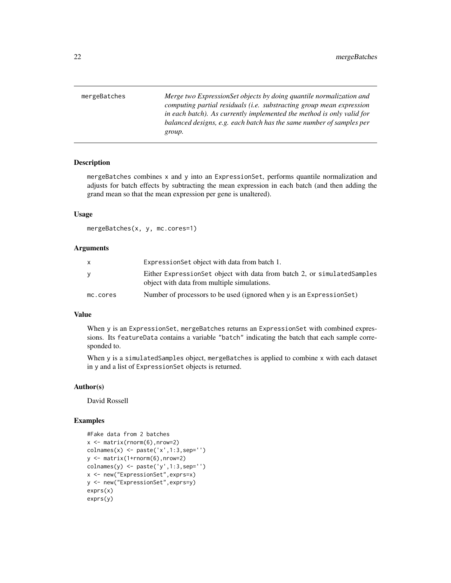<span id="page-21-1"></span><span id="page-21-0"></span>mergeBatches *Merge two ExpressionSet objects by doing quantile normalization and computing partial residuals (i.e. substracting group mean expression in each batch). As currently implemented the method is only valid for balanced designs, e.g. each batch has the same number of samples per group.*

#### **Description**

mergeBatches combines x and y into an ExpressionSet, performs quantile normalization and adjusts for batch effects by subtracting the mean expression in each batch (and then adding the grand mean so that the mean expression per gene is unaltered).

# Usage

mergeBatches(x, y, mc.cores=1)

#### Arguments

| x        | Expression Set object with data from batch 1.                                                                          |
|----------|------------------------------------------------------------------------------------------------------------------------|
| v        | Either ExpressionSet object with data from batch 2, or simulatedSamples<br>object with data from multiple simulations. |
| mc.cores | Number of processors to be used (ignored when y is an Expression Set)                                                  |

#### Value

When y is an ExpressionSet, mergeBatches returns an ExpressionSet with combined expressions. Its featureData contains a variable "batch" indicating the batch that each sample corresponded to.

When y is a simulatedSamples object, mergeBatches is applied to combine x with each dataset in y and a list of ExpressionSet objects is returned.

# Author(s)

David Rossell

```
#Fake data from 2 batches
x \leftarrow \text{matrix}(rnorm(6), nrow=2)colnames(x) <- paste('x',1:3,sep='')
y <- matrix(1+rnorm(6),nrow=2)
colnames(y) <- paste('y',1:3,sep='')
x <- new("ExpressionSet",exprs=x)
y <- new("ExpressionSet",exprs=y)
exprs(x)
exprs(y)
```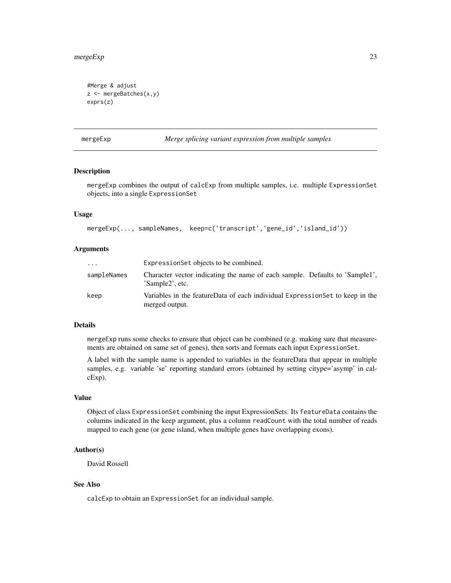#### <span id="page-22-0"></span>mergeExp 23

```
#Merge & adjust
z <- mergeBatches(x,y)
exprs(z)
```
mergeExp *Merge splicing variant expression from multiple samples*

# Description

mergeExp combines the output of calcExp from multiple samples, i.e. multiple ExpressionSet objects, into a single ExpressionSet

# Usage

mergeExp(..., sampleNames, keep=c('transcript','gene\_id','island\_id'))

# Arguments

| $\cdots$    | Expression Set objects to be combined.                                                         |
|-------------|------------------------------------------------------------------------------------------------|
| sampleNames | Character vector indicating the name of each sample. Defaults to 'Sample1',<br>'Sample2', etc. |
| keep        | Variables in the featureData of each individual ExpressionSet to keep in the<br>merged output. |

# Details

mergeExp runs some checks to ensure that object can be combined (e.g. making sure that measurements are obtained on same set of genes), then sorts and formats each input ExpressionSet.

A label with the sample name is appended to variables in the featureData that appear in multiple samples, e.g. variable 'se' reporting standard errors (obtained by setting citype='asymp' in calcExp).

#### Value

Object of class ExpressionSet combining the input ExpressionSets. Its featureData contains the columns indicated in the keep argument, plus a column readCount with the total number of reads mapped to each gene (or gene island, when multiple genes have overlapping exons).

# Author(s)

David Rossell

# See Also

calcExp to obtain an ExpressionSet for an individual sample.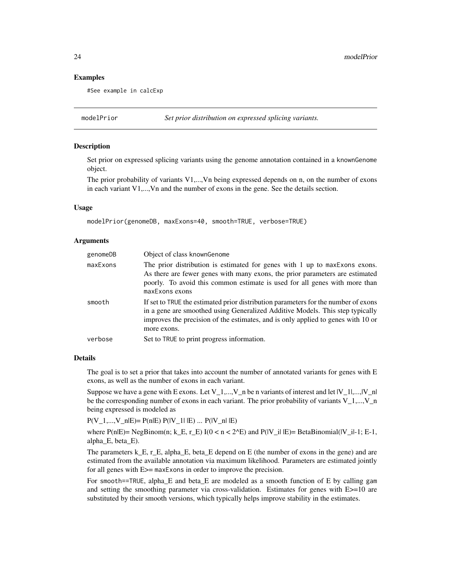24 modelPrior

## Examples

#See example in calcExp

modelPrior *Set prior distribution on expressed splicing variants.*

# Description

Set prior on expressed splicing variants using the genome annotation contained in a knownGenome object.

The prior probability of variants V1,...,Vn being expressed depends on n, on the number of exons in each variant V1,...,Vn and the number of exons in the gene. See the details section.

#### Usage

modelPrior(genomeDB, maxExons=40, smooth=TRUE, verbose=TRUE)

#### Arguments

| genomeDB | Object of class knownGenome                                                                                                                                                                                                                                            |  |
|----------|------------------------------------------------------------------------------------------------------------------------------------------------------------------------------------------------------------------------------------------------------------------------|--|
| maxExons | The prior distribution is estimated for genes with 1 up to maxExons exons.<br>As there are fewer genes with many exons, the prior parameters are estimated<br>poorly. To avoid this common estimate is used for all genes with more than<br>maxExons exons             |  |
| smooth   | If set to TRUE the estimated prior distribution parameters for the number of exons<br>in a gene are smoothed using Generalized Additive Models. This step typically<br>improves the precision of the estimates, and is only applied to genes with 10 or<br>more exons. |  |
| verbose  | Set to TRUE to print progress information.                                                                                                                                                                                                                             |  |

#### **Details**

The goal is to set a prior that takes into account the number of annotated variants for genes with E exons, as well as the number of exons in each variant.

Suppose we have a gene with E exons. Let  $V_1$ ,..., $V_n$  be n variants of interest and let  $|V_1|$ ,..., $|V_n|$ be the corresponding number of exons in each variant. The prior probability of variants V\_1,..., V\_n being expressed is modeled as

 $P(V_1,...,V_n|E) = P(n|E) P(|V_1|E) ... P(|V_n|E)$ 

where  $P(n|E)$  = NegBinom(n; k\_E, r\_E) I(0 < n < 2^E) and  $P(|V_i||E)$  = BetaBinomial(|V\_i|-1; E-1, alpha\_E, beta\_E).

The parameters k\_E, r\_E, alpha\_E, beta\_E depend on E (the number of exons in the gene) and are estimated from the available annotation via maximum likelihood. Parameters are estimated jointly for all genes with E>= maxExons in order to improve the precision.

For smooth==TRUE, alpha\_E and beta\_E are modeled as a smooth function of E by calling gam and setting the smoothing parameter via cross-validation. Estimates for genes with E>=10 are substituted by their smooth versions, which typically helps improve stability in the estimates.

<span id="page-23-0"></span>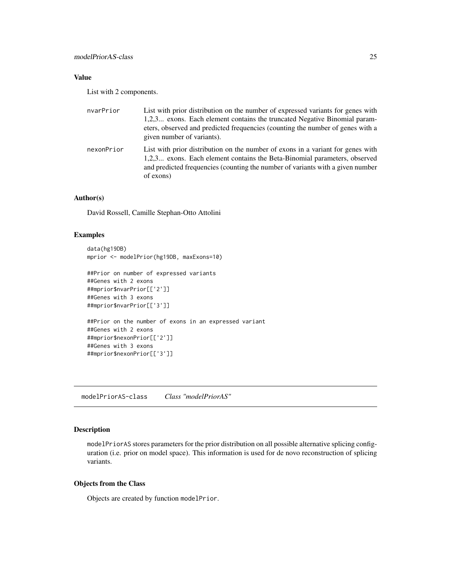# <span id="page-24-0"></span>Value

List with 2 components.

| nvarPrior  | List with prior distribution on the number of expressed variants for genes with<br>1,2,3 exons. Each element contains the truncated Negative Binomial param-<br>eters, observed and predicted frequencies (counting the number of genes with a<br>given number of variants). |
|------------|------------------------------------------------------------------------------------------------------------------------------------------------------------------------------------------------------------------------------------------------------------------------------|
| nexonPrior | List with prior distribution on the number of exons in a variant for genes with<br>1,2,3 exons. Each element contains the Beta-Binomial parameters, observed<br>and predicted frequencies (counting the number of variants with a given number<br>of exons)                  |

# Author(s)

David Rossell, Camille Stephan-Otto Attolini

# Examples

```
data(hg19DB)
mprior <- modelPrior(hg19DB, maxExons=10)
```

```
##Prior on number of expressed variants
##Genes with 2 exons
##mprior$nvarPrior[['2']]
##Genes with 3 exons
##mprior$nvarPrior[['3']]
##Prior on the number of exons in an expressed variant
##Genes with 2 exons
```

```
##mprior$nexonPrior[['2']]
##Genes with 3 exons
##mprior$nexonPrior[['3']]
```
modelPriorAS-class *Class "modelPriorAS"*

# Description

modelPriorAS stores parameters for the prior distribution on all possible alternative splicing configuration (i.e. prior on model space). This information is used for de novo reconstruction of splicing variants.

#### Objects from the Class

Objects are created by function modelPrior.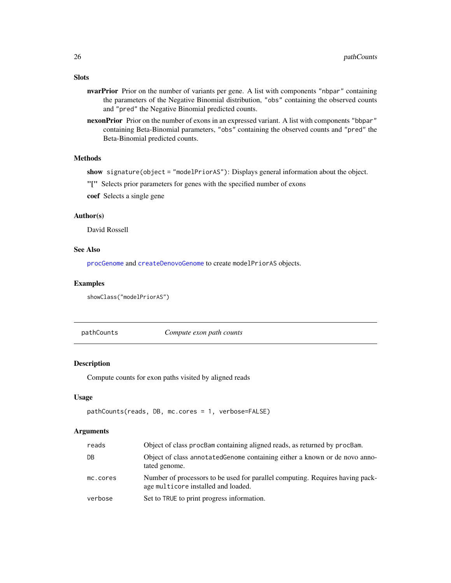- nvarPrior Prior on the number of variants per gene. A list with components "nbpar" containing the parameters of the Negative Binomial distribution, "obs" containing the observed counts and "pred" the Negative Binomial predicted counts.
- nexonPrior Prior on the number of exons in an expressed variant. A list with components "bbpar" containing Beta-Binomial parameters, "obs" containing the observed counts and "pred" the Beta-Binomial predicted counts.

# Methods

show signature(object = "modelPriorAS"): Displays general information about the object.

"[" Selects prior parameters for genes with the specified number of exons

coef Selects a single gene

### Author(s)

David Rossell

#### See Also

[procGenome](#page-34-1) and [createDenovoGenome](#page-34-2) to create modelPriorAS objects.

#### Examples

showClass("modelPriorAS")

pathCounts *Compute exon path counts*

# Description

Compute counts for exon paths visited by aligned reads

# Usage

```
pathCounts(reads, DB, mc.cores = 1, verbose=FALSE)
```
# Arguments

| reads    | Object of class procBam containing aligned reads, as returned by procBam.                                            |  |
|----------|----------------------------------------------------------------------------------------------------------------------|--|
| DB       | Object of class annotated Genome containing either a known or de novo anno-<br>tated genome.                         |  |
| mc.cores | Number of processors to be used for parallel computing. Requires having pack-<br>age multicore installed and loaded. |  |
| verbose  | Set to TRUE to print progress information.                                                                           |  |

# <span id="page-25-0"></span>Slots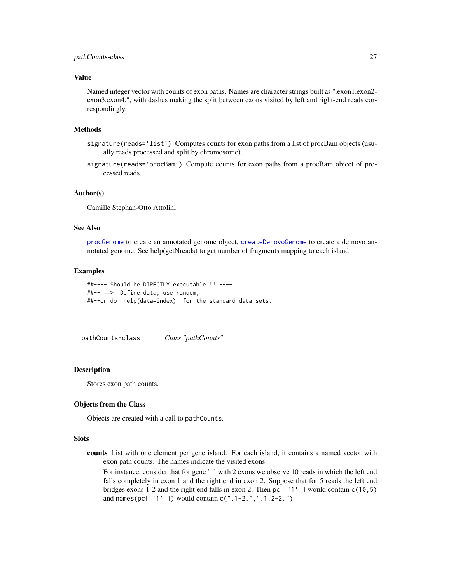# <span id="page-26-0"></span>Value

Named integer vector with counts of exon paths. Names are character strings built as ".exon1.exon2exon3.exon4.", with dashes making the split between exons visited by left and right-end reads correspondingly.

# Methods

- signature(reads='list') Computes counts for exon paths from a list of procBam objects (usually reads processed and split by chromosome).
- signature(reads='procBam') Compute counts for exon paths from a procBam object of processed reads.

# Author(s)

Camille Stephan-Otto Attolini

#### See Also

[procGenome](#page-34-1) to create an annotated genome object, [createDenovoGenome](#page-34-2) to create a de novo annotated genome. See help(getNreads) to get number of fragments mapping to each island.

# Examples

```
##---- Should be DIRECTLY executable !! ----
##-- ==> Define data, use random,
##--or do help(data=index) for the standard data sets.
```
pathCounts-class *Class "pathCounts"*

#### **Description**

Stores exon path counts.

# Objects from the Class

Objects are created with a call to pathCounts.

#### **Slots**

counts List with one element per gene island. For each island, it contains a named vector with exon path counts. The names indicate the visited exons.

For instance, consider that for gene '1' with 2 exons we observe 10 reads in which the left end falls completely in exon 1 and the right end in exon 2. Suppose that for 5 reads the left end bridges exons 1-2 and the right end falls in exon 2. Then  $pc[[1']]$  would contain  $c(10,5)$ and names(pc[['1']]) would contain c(".1-2.",".1.2-2.")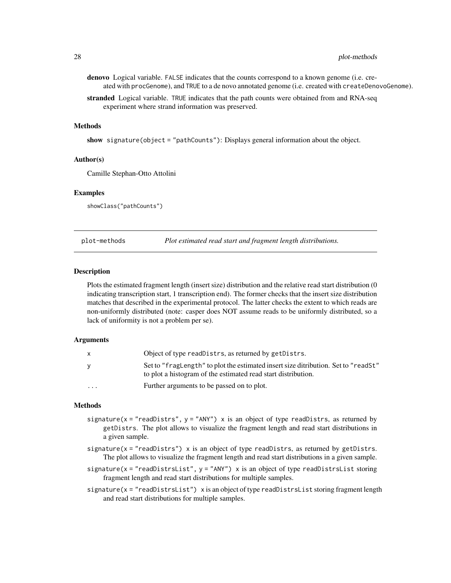- <span id="page-27-0"></span>denovo Logical variable. FALSE indicates that the counts correspond to a known genome (i.e. created with procGenome), and TRUE to a de novo annotated genome (i.e. created with createDenovoGenome).
- stranded Logical variable. TRUE indicates that the path counts were obtained from and RNA-seq experiment where strand information was preserved.

#### Methods

show signature(object = "pathCounts"): Displays general information about the object.

#### Author(s)

Camille Stephan-Otto Attolini

### Examples

showClass("pathCounts")

plot-methods *Plot estimated read start and fragment length distributions.*

#### Description

Plots the estimated fragment length (insert size) distribution and the relative read start distribution (0 indicating transcription start, 1 transcription end). The former checks that the insert size distribution matches that described in the experimental protocol. The latter checks the extent to which reads are non-uniformly distributed (note: casper does NOT assume reads to be uniformly distributed, so a lack of uniformity is not a problem per se).

#### Arguments

| X        | Object of type readDistrs, as returned by getDistrs.                                                                                                |
|----------|-----------------------------------------------------------------------------------------------------------------------------------------------------|
| У        | Set to "fragLength" to plot the estimated insert size ditribution. Set to "readSt"<br>to plot a histogram of the estimated read start distribution. |
| $\cdots$ | Further arguments to be passed on to plot.                                                                                                          |

#### Methods

- signature( $x = "readDistrs", y = "ANY")$  x is an object of type readDistrs, as returned by getDistrs. The plot allows to visualize the fragment length and read start distributions in a given sample.
- signature( $x = "readDistrs")$  x is an object of type readDistrs, as returned by getDistrs. The plot allows to visualize the fragment length and read start distributions in a given sample.
- signature( $x = "readDistrslist", y = "ANY")$  x is an object of type readDistrsList storing fragment length and read start distributions for multiple samples.
- signature(x = "readDistrsList") x is an object of type readDistrsList storing fragment length and read start distributions for multiple samples.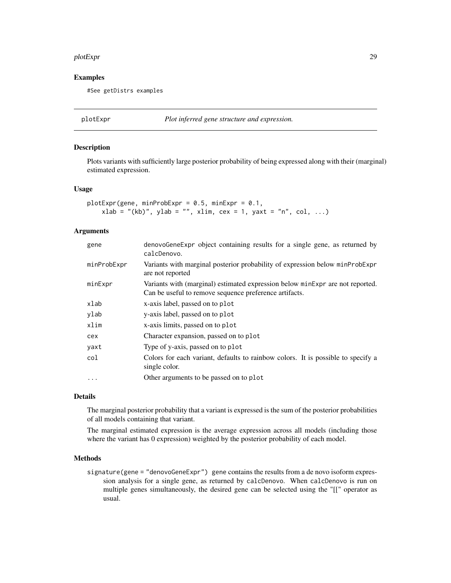#### <span id="page-28-0"></span>plotExpr 29

## Examples

#See getDistrs examples

plotExpr *Plot inferred gene structure and expression.*

#### Description

Plots variants with sufficiently large posterior probability of being expressed along with their (marginal) estimated expression.

#### Usage

```
plotExpr(gene, minProbExpr = 0.5, minExpr = 0.1,xlab = "(kb)", ylab = "", xlim, cex = 1, yaxt = "n", col, ...)
```
# Arguments

| gene        | denovoGeneExpr object containing results for a single gene, as returned by<br>calcDenovo.                                               |  |
|-------------|-----------------------------------------------------------------------------------------------------------------------------------------|--|
| minProbExpr | Variants with marginal posterior probability of expression below minProbExpr<br>are not reported                                        |  |
| minExpr     | Variants with (marginal) estimated expression below minExpr are not reported.<br>Can be useful to remove sequence preference artifacts. |  |
| xlab        | x-axis label, passed on to plot                                                                                                         |  |
| ylab        | y-axis label, passed on to plot                                                                                                         |  |
| xlim        | x-axis limits, passed on to plot                                                                                                        |  |
| cex         | Character expansion, passed on to plot                                                                                                  |  |
| yaxt        | Type of y-axis, passed on to plot                                                                                                       |  |
| col         | Colors for each variant, defaults to rainbow colors. It is possible to specify a<br>single color.                                       |  |
| $\cdot$     | Other arguments to be passed on to plot                                                                                                 |  |

# Details

The marginal posterior probability that a variant is expressed is the sum of the posterior probabilities of all models containing that variant.

The marginal estimated expression is the average expression across all models (including those where the variant has 0 expression) weighted by the posterior probability of each model.

#### Methods

signature(gene = "denovoGeneExpr") gene contains the results from a de novo isoform expression analysis for a single gene, as returned by calcDenovo. When calcDenovo is run on multiple genes simultaneously, the desired gene can be selected using the "[[" operator as usual.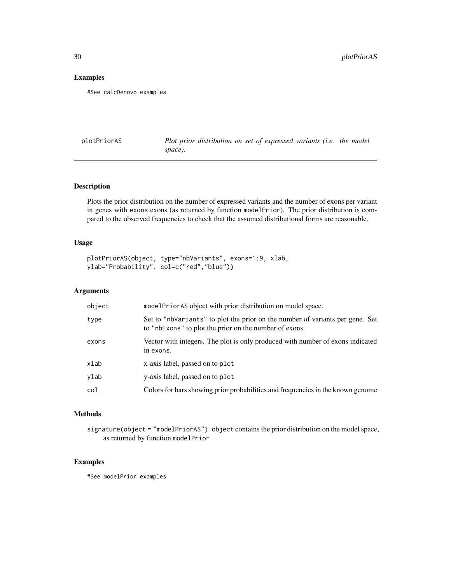# Examples

#See calcDenovo examples

plotPriorAS *Plot prior distribution on set of expressed variants (i.e. the model space).*

# Description

Plots the prior distribution on the number of expressed variants and the number of exons per variant in genes with exons exons (as returned by function modelPrior). The prior distribution is compared to the observed frequencies to check that the assumed distributional forms are reasonable.

# Usage

```
plotPriorAS(object, type="nbVariants", exons=1:9, xlab,
ylab="Probability", col=c("red","blue"))
```
# Arguments

| object | modelPriorAS object with prior distribution on model space.                                                                             |
|--------|-----------------------------------------------------------------------------------------------------------------------------------------|
| type   | Set to "nbVariants" to plot the prior on the number of variants per gene. Set<br>to "nbExons" to plot the prior on the number of exons. |
| exons  | Vector with integers. The plot is only produced with number of exons indicated<br>in exons.                                             |
| xlab   | x-axis label, passed on to plot                                                                                                         |
| ylab   | y-axis label, passed on to plot                                                                                                         |
| col    | Colors for bars showing prior probabilities and frequencies in the known genome                                                         |

#### Methods

signature(object = "modelPriorAS") object contains the prior distribution on the model space, as returned by function modelPrior

# Examples

#See modelPrior examples

<span id="page-29-0"></span>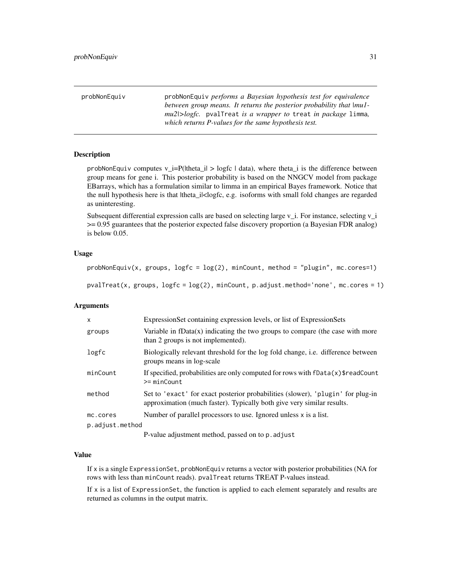<span id="page-30-0"></span>

| probNonEquiv | probNonEquiv performs a Bayesian hypothesis test for equivalence                |
|--------------|---------------------------------------------------------------------------------|
|              | between group means. It returns the posterior probability that $ mu$ .          |
|              | <i>mu2/&gt;logfc.</i> pvalTreat <i>is a wrapper to treat in package limma</i> , |
|              | which returns P-values for the same hypothesis test.                            |

# **Description**

probNonEquiv computes  $v_i = P(|theta_i| > logfc | data)$ , where theta<sub>i</sub> is the difference between group means for gene i. This posterior probability is based on the NNGCV model from package EBarrays, which has a formulation similar to limma in an empirical Bayes framework. Notice that the null hypothesis here is that ltheta\_i|<logfc, e.g. isoforms with small fold changes are regarded as uninteresting.

Subsequent differential expression calls are based on selecting large  $v_i$ . For instance, selecting  $v_i$ >= 0.95 guarantees that the posterior expected false discovery proportion (a Bayesian FDR analog) is below 0.05.

#### Usage

```
probNonEquiv(x, groups, logfc = log(2), minCount, method = "plugin", mc.corees=1)
```
pvalTreat(x, groups,  $logfc = log(2)$ , minCount, p.adjust.method='none', mc.cores = 1)

#### Arguments

| $\mathsf{x}$    | ExpressionSet containing expression levels, or list of ExpressionSets                                                                                     |
|-----------------|-----------------------------------------------------------------------------------------------------------------------------------------------------------|
| groups          | Variable in fData $(x)$ indicating the two groups to compare (the case with more<br>than 2 groups is not implemented).                                    |
| logfc           | Biologically relevant threshold for the log fold change, <i>i.e.</i> difference between<br>groups means in log-scale                                      |
| minCount        | If specified, probabilities are only computed for rows with $\text{Data}(x)$ freadCount<br>$>= minCount$                                                  |
| method          | Set to 'exact' for exact posterior probabilities (slower), 'plugin' for plug-in<br>approximation (much faster). Typically both give very similar results. |
| mc.cores        | Number of parallel processors to use. Ignored unless $x$ is a list.                                                                                       |
| p.adjust.method |                                                                                                                                                           |
|                 | D value adjustment mathed necessary to n adjust                                                                                                           |

P-value adjustment method, passed on to p.adjust

#### Value

If x is a single ExpressionSet, probNonEquiv returns a vector with posterior probabilities (NA for rows with less than minCount reads). pvalTreat returns TREAT P-values instead.

If  $x$  is a list of Expression Set, the function is applied to each element separately and results are returned as columns in the output matrix.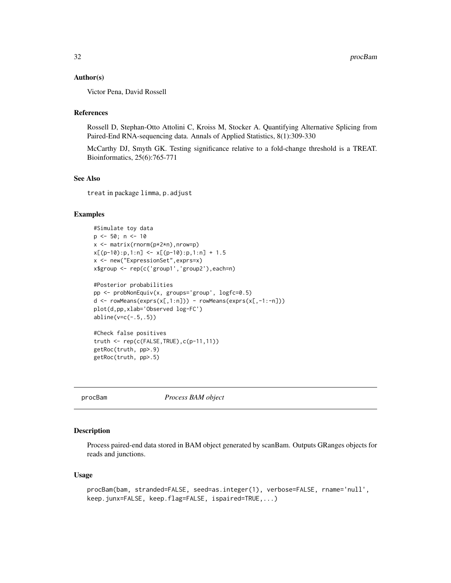## <span id="page-31-0"></span>Author(s)

Victor Pena, David Rossell

# References

Rossell D, Stephan-Otto Attolini C, Kroiss M, Stocker A. Quantifying Alternative Splicing from Paired-End RNA-sequencing data. Annals of Applied Statistics, 8(1):309-330

McCarthy DJ, Smyth GK. Testing significance relative to a fold-change threshold is a TREAT. Bioinformatics, 25(6):765-771

#### See Also

treat in package limma, p.adjust

# Examples

```
#Simulate toy data
p \le -50; n \le -10x <- matrix(rnorm(p*2*n),nrow=p)
x[(p-10):p,1:n] \le x[(p-10):p,1:n] + 1.5x <- new("ExpressionSet",exprs=x)
x$group <- rep(c('group1','group2'),each=n)
#Posterior probabilities
pp <- probNonEquiv(x, groups='group', logfc=0.5)
d \leq rowMeans(exps(x[,1:n])) - rowMeans(exps(x[,-1:-n]))plot(d,pp,xlab='Observed log-FC')
abline(v=c(-.5,.5))
#Check false positives
truth <- rep(c(FALSE,TRUE),c(p-11,11))
getRoc(truth, pp>.9)
getRoc(truth, pp>.5)
```
procBam *Process BAM object*

#### Description

Process paired-end data stored in BAM object generated by scanBam. Outputs GRanges objects for reads and junctions.

#### Usage

```
procBam(bam, stranded=FALSE, seed=as.integer(1), verbose=FALSE, rname='null',
keep.junx=FALSE, keep.flag=FALSE, ispaired=TRUE,...)
```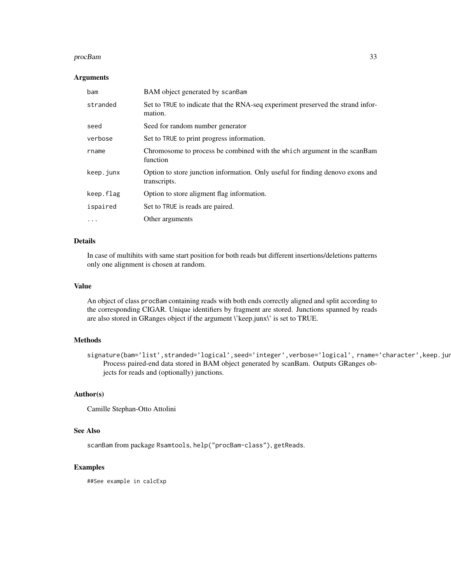#### procBam 33

#### Arguments

| bam       | BAM object generated by scanBam                                                                |
|-----------|------------------------------------------------------------------------------------------------|
| stranded  | Set to TRUE to indicate that the RNA-seq experiment preserved the strand infor-<br>mation.     |
| seed      | Seed for random number generator                                                               |
| verbose   | Set to TRUE to print progress information.                                                     |
| rname     | Chromosome to process be combined with the which argument in the scanBam<br>function           |
| keep.junx | Option to store junction information. Only useful for finding denovo exons and<br>transcripts. |
| keep.flag | Option to store aligment flag information.                                                     |
| ispaired  | Set to TRUE is reads are paired.                                                               |
| $\ddotsc$ | Other arguments                                                                                |

# Details

In case of multihits with same start position for both reads but different insertions/deletions patterns only one alignment is chosen at random.

# Value

An object of class procBam containing reads with both ends correctly aligned and split according to the corresponding CIGAR. Unique identifiers by fragment are stored. Junctions spanned by reads are also stored in GRanges object if the argument \'keep.junx\' is set to TRUE.

# Methods

signature(bam='list',stranded='logical',seed='integer',verbose='logical',rname='character',keep.jun Process paired-end data stored in BAM object generated by scanBam. Outputs GRanges objects for reads and (optionally) junctions.

#### Author(s)

Camille Stephan-Otto Attolini

#### See Also

scanBam from package Rsamtools, help("procBam-class"), getReads.

#### Examples

##See example in calcExp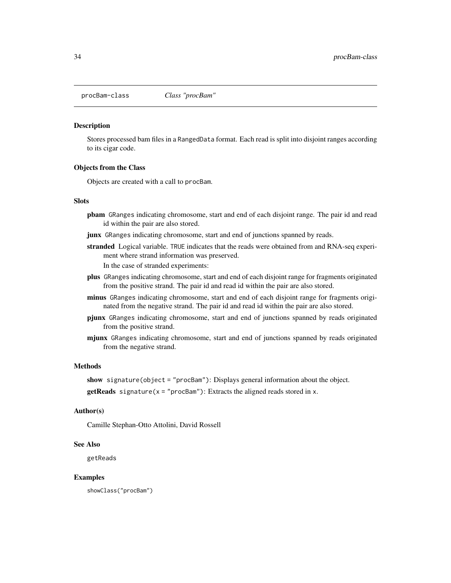<span id="page-33-0"></span>

#### Description

Stores processed bam files in a RangedData format. Each read is split into disjoint ranges according to its cigar code.

#### Objects from the Class

Objects are created with a call to procBam.

#### **Slots**

- pbam GRanges indicating chromosome, start and end of each disjoint range. The pair id and read id within the pair are also stored.
- junx GRanges indicating chromosome, start and end of junctions spanned by reads.
- stranded Logical variable. TRUE indicates that the reads were obtained from and RNA-seq experiment where strand information was preserved. In the case of stranded experiments:
- plus GRanges indicating chromosome, start and end of each disjoint range for fragments originated from the positive strand. The pair id and read id within the pair are also stored.
- minus GRanges indicating chromosome, start and end of each disjoint range for fragments originated from the negative strand. The pair id and read id within the pair are also stored.
- pjunx GRanges indicating chromosome, start and end of junctions spanned by reads originated from the positive strand.
- mjunx GRanges indicating chromosome, start and end of junctions spanned by reads originated from the negative strand.

#### Methods

show signature(object = "procBam"): Displays general information about the object.

**getReads** signature( $x = "procBam")$ : Extracts the aligned reads stored in x.

# Author(s)

Camille Stephan-Otto Attolini, David Rossell

#### See Also

getReads

#### Examples

showClass("procBam")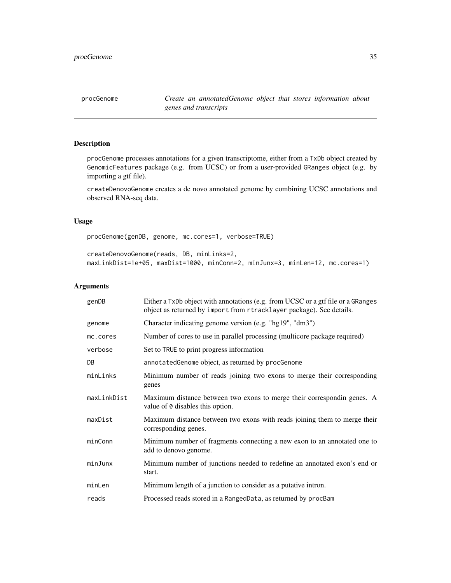<span id="page-34-1"></span><span id="page-34-0"></span>procGenome *Create an annotatedGenome object that stores information about genes and transcripts*

# <span id="page-34-2"></span>Description

procGenome processes annotations for a given transcriptome, either from a TxDb object created by GenomicFeatures package (e.g. from UCSC) or from a user-provided GRanges object (e.g. by importing a gtf file).

createDenovoGenome creates a de novo annotated genome by combining UCSC annotations and observed RNA-seq data.

#### Usage

procGenome(genDB, genome, mc.cores=1, verbose=TRUE)

createDenovoGenome(reads, DB, minLinks=2, maxLinkDist=1e+05, maxDist=1000, minConn=2, minJunx=3, minLen=12, mc.cores=1)

| genDB       | Either a TxDb object with annotations (e.g. from UCSC or a gtf file or a GRanges<br>object as returned by import from rtracklayer package). See details. |
|-------------|----------------------------------------------------------------------------------------------------------------------------------------------------------|
| genome      | Character indicating genome version (e.g. "hg19", "dm3")                                                                                                 |
| mc.cores    | Number of cores to use in parallel processing (multicore package required)                                                                               |
| verbose     | Set to TRUE to print progress information                                                                                                                |
| DB          | annotatedGenome object, as returned by procGenome                                                                                                        |
| minLinks    | Minimum number of reads joining two exons to merge their corresponding<br>genes                                                                          |
| maxLinkDist | Maximum distance between two exons to merge their correspondin genes. A<br>value of 0 disables this option.                                              |
| maxDist     | Maximum distance between two exons with reads joining them to merge their<br>corresponding genes.                                                        |
| minConn     | Minimum number of fragments connecting a new exon to an annotated one to<br>add to denovo genome.                                                        |
| minJunx     | Minimum number of junctions needed to redefine an annotated exon's end or<br>start.                                                                      |
| minLen      | Minimum length of a junction to consider as a putative intron.                                                                                           |
| reads       | Processed reads stored in a RangedData, as returned by procBam                                                                                           |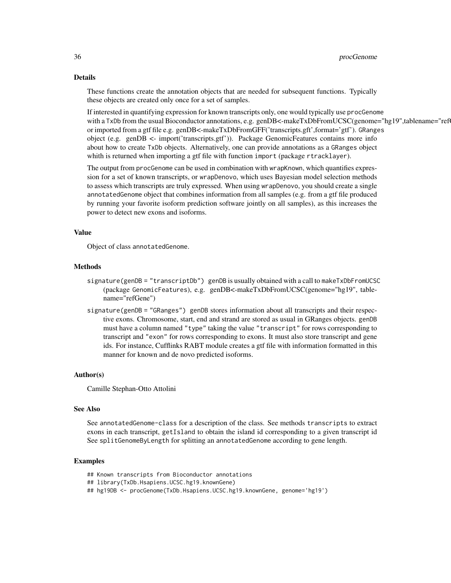#### Details

These functions create the annotation objects that are needed for subsequent functions. Typically these objects are created only once for a set of samples.

If interested in quantifying expression for known transcripts only, one would typically use procGenome with a TxDb from the usual Bioconductor annotations, e.g. genDB<-makeTxDbFromUCSC(genome="hg19",tablename="ref or imported from a gtf file e.g. genDB<-makeTxDbFromGFF('transcripts.gft',format='gtf'). GRanges object (e.g. genDB <- import('transcripts.gtf')). Package GenomicFeatures contains more info about how to create TxDb objects. Alternatively, one can provide annotations as a GRanges object whith is returned when importing a gtf file with function import (package rtracklayer).

The output from procGenome can be used in combination with wrapKnown, which quantifies expression for a set of known transcripts, or wrapDenovo, which uses Bayesian model selection methods to assess which transcripts are truly expressed. When using wrapDenovo, you should create a single annotatedGenome object that combines information from all samples (e.g. from a gtf file produced by running your favorite isoform prediction software jointly on all samples), as this increases the power to detect new exons and isoforms.

#### Value

Object of class annotatedGenome.

# Methods

- signature(genDB = "transcriptDb") genDB is usually obtained with a call to makeTxDbFromUCSC (package GenomicFeatures), e.g. genDB<-makeTxDbFromUCSC(genome="hg19", tablename="refGene")
- signature(genDB = "GRanges") genDB stores information about all transcripts and their respective exons. Chromosome, start, end and strand are stored as usual in GRanges objects. genDB must have a column named "type" taking the value "transcript" for rows corresponding to transcript and "exon" for rows corresponding to exons. It must also store transcript and gene ids. For instance, Cufflinks RABT module creates a gtf file with information formatted in this manner for known and de novo predicted isoforms.

#### Author(s)

Camille Stephan-Otto Attolini

# See Also

See annotatedGenome-class for a description of the class. See methods transcripts to extract exons in each transcript, getIsland to obtain the island id corresponding to a given transcript id See splitGenomeByLength for splitting an annotatedGenome according to gene length.

- ## Known transcripts from Bioconductor annotations
- ## library(TxDb.Hsapiens.UCSC.hg19.knownGene)
- ## hg19DB <- procGenome(TxDb.Hsapiens.UCSC.hg19.knownGene, genome='hg19')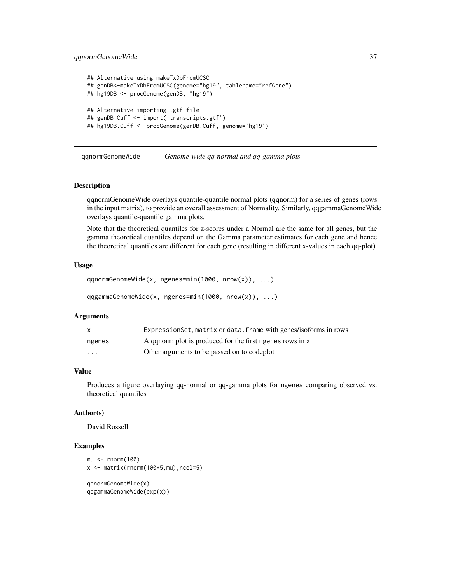# <span id="page-36-0"></span>qqnormGenomeWide 37

```
## Alternative using makeTxDbFromUCSC
## genDB<-makeTxDbFromUCSC(genome="hg19", tablename="refGene")
## hg19DB <- procGenome(genDB, "hg19")
## Alternative importing .gtf file
## genDB.Cuff <- import('transcripts.gtf')
## hg19DB.Cuff <- procGenome(genDB.Cuff, genome='hg19')
```
qqnormGenomeWide *Genome-wide qq-normal and qq-gamma plots*

#### Description

qqnormGenomeWide overlays quantile-quantile normal plots (qqnorm) for a series of genes (rows in the input matrix), to provide an overall assessment of Normality. Similarly, qqgammaGenomeWide overlays quantile-quantile gamma plots.

Note that the theoretical quantiles for z-scores under a Normal are the same for all genes, but the gamma theoretical quantiles depend on the Gamma parameter estimates for each gene and hence the theoretical quantiles are different for each gene (resulting in different x-values in each qq-plot)

# Usage

```
qqnormGenomeWide(x, ngenes=min(1000, nrow(x)), ...)
qqgammaGenomeWide(x, ngenes=min(1000, nrow(x)), ...)
```
#### Arguments

| X      | Expression Set, matrix or data. frame with genes/isoforms in rows |
|--------|-------------------------------------------------------------------|
| ngenes | A ganorm plot is produced for the first ngenes rows in x          |
| .      | Other arguments to be passed on to codeplot                       |

#### Value

Produces a figure overlaying qq-normal or qq-gamma plots for ngenes comparing observed vs. theoretical quantiles

#### Author(s)

David Rossell

```
mu < - rnorm(100)x \le - matrix(rnorm(100*5,mu),ncol=5)
```

```
qqnormGenomeWide(x)
qqgammaGenomeWide(exp(x))
```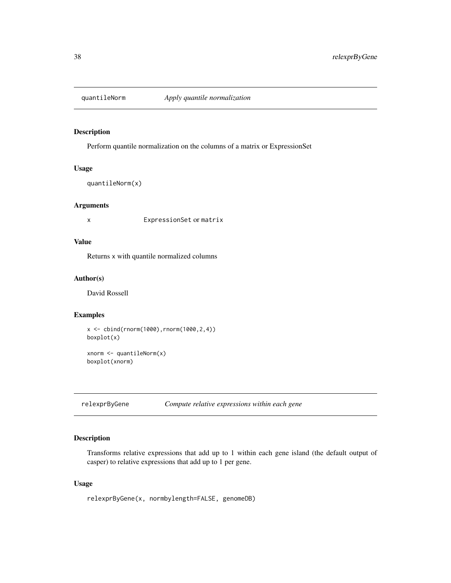<span id="page-37-0"></span>

# Description

Perform quantile normalization on the columns of a matrix or ExpressionSet

#### Usage

quantileNorm(x)

# Arguments

x ExpressionSet or matrix

# Value

Returns x with quantile normalized columns

# Author(s)

David Rossell

# Examples

```
x \le - \text{cbind}(rnorm(1000), rnorm(1000, 2, 4))boxplot(x)
```

```
xnorm \leftarrow quantileNorm(x)boxplot(xnorm)
```
relexprByGene *Compute relative expressions within each gene*

# Description

Transforms relative expressions that add up to 1 within each gene island (the default output of casper) to relative expressions that add up to 1 per gene.

# Usage

```
relexprByGene(x, normbylength=FALSE, genomeDB)
```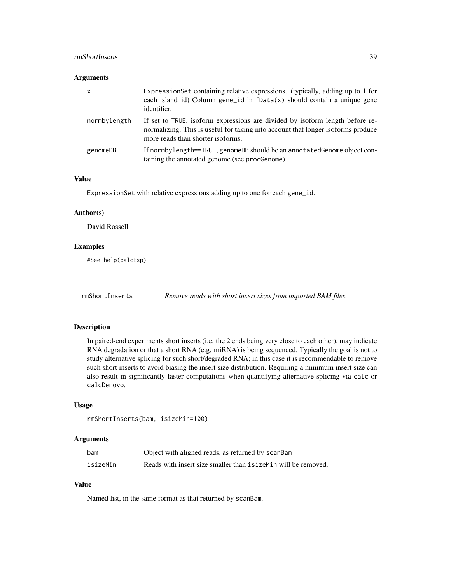# <span id="page-38-0"></span>rmShortInserts 39

#### Arguments

| x            | ExpressionSet containing relative expressions. (typically, adding up to 1 for<br>each island_id) Column gene_id in $fData(x)$ should contain a unique gene<br>identifier.                             |
|--------------|-------------------------------------------------------------------------------------------------------------------------------------------------------------------------------------------------------|
| normbylength | If set to TRUE, isoform expressions are divided by isoform length before re-<br>normalizing. This is useful for taking into account that longer isoforms produce<br>more reads than shorter isoforms. |
| genomeDB     | If normby length==TRUE, genomeDB should be an annotated Genome object con-<br>taining the annotated genome (see procGenome)                                                                           |

# Value

ExpressionSet with relative expressions adding up to one for each gene\_id.

#### Author(s)

David Rossell

# Examples

#See help(calcExp)

rmShortInserts *Remove reads with short insert sizes from imported BAM files.*

# Description

In paired-end experiments short inserts (i.e. the 2 ends being very close to each other), may indicate RNA degradation or that a short RNA (e.g. miRNA) is being sequenced. Typically the goal is not to study alternative splicing for such short/degraded RNA; in this case it is recommendable to remove such short inserts to avoid biasing the insert size distribution. Requiring a minimum insert size can also result in significantly faster computations when quantifying alternative splicing via calc or calcDenovo.

# Usage

```
rmShortInserts(bam, isizeMin=100)
```
#### Arguments

| bam      | Object with aligned reads, as returned by scanBam               |
|----------|-----------------------------------------------------------------|
| isizeMin | Reads with insert size smaller than is izement will be removed. |

# Value

Named list, in the same format as that returned by scanBam.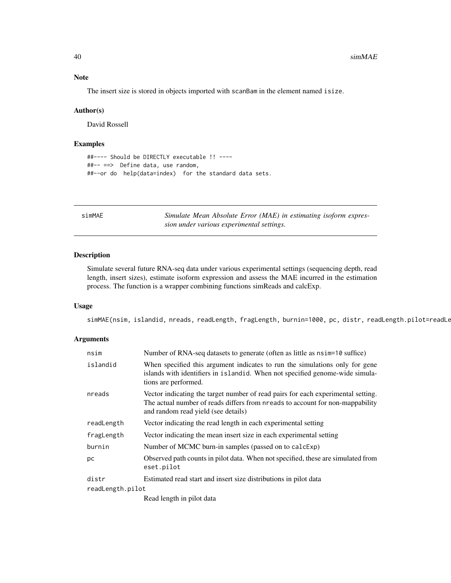The insert size is stored in objects imported with scanBam in the element named isize.

#### Author(s)

David Rossell

# Examples

```
##---- Should be DIRECTLY executable !! ----
##-- ==> Define data, use random,
##--or do help(data=index) for the standard data sets.
```
simMAE *Simulate Mean Absolute Error (MAE) in estimating isoform expression under various experimental settings.*

# Description

Simulate several future RNA-seq data under various experimental settings (sequencing depth, read length, insert sizes), estimate isoform expression and assess the MAE incurred in the estimation process. The function is a wrapper combining functions simReads and calcExp.

#### Usage

simMAE(nsim, islandid, nreads, readLength, fragLength, burnin=1000, pc, distr, readLength.pilot=readLe

| nsim             | Number of RNA-seq datasets to generate (often as little as $nsim=10$ suffice)                                                                                                                            |  |
|------------------|----------------------------------------------------------------------------------------------------------------------------------------------------------------------------------------------------------|--|
| islandid         | When specified this argument indicates to run the simulations only for gene<br>islands with identifiers in islandid. When not specified genome-wide simula-<br>tions are performed.                      |  |
| nreads           | Vector indicating the target number of read pairs for each experimental setting.<br>The actual number of reads differs from nreads to account for non-mappability<br>and random read yield (see details) |  |
| readLength       | Vector indicating the read length in each experimental setting                                                                                                                                           |  |
| fragLength       | Vector indicating the mean insert size in each experimental setting                                                                                                                                      |  |
| burnin           | Number of MCMC burn-in samples (passed on to calcExp)                                                                                                                                                    |  |
| рc               | Observed path counts in pilot data. When not specified, these are simulated from<br>eset.pilot                                                                                                           |  |
| distr            | Estimated read start and insert size distributions in pilot data                                                                                                                                         |  |
| readLength.pilot |                                                                                                                                                                                                          |  |
|                  | Read length in pilot data                                                                                                                                                                                |  |

<span id="page-39-0"></span>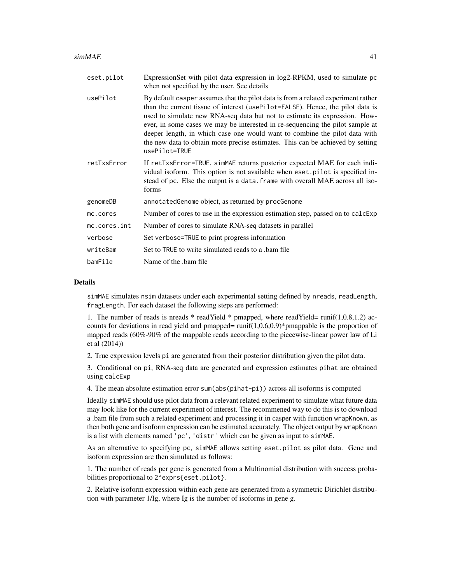| eset.pilot   | ExpressionSet with pilot data expression in log2-RPKM, used to simulate pc<br>when not specified by the user. See details                                                                                                                                                                                                                                                                                                                                                                                           |
|--------------|---------------------------------------------------------------------------------------------------------------------------------------------------------------------------------------------------------------------------------------------------------------------------------------------------------------------------------------------------------------------------------------------------------------------------------------------------------------------------------------------------------------------|
| usePilot     | By default casper assumes that the pilot data is from a related experiment rather<br>than the current tissue of interest (usePilot=FALSE). Hence, the pilot data is<br>used to simulate new RNA-seq data but not to estimate its expression. How-<br>ever, in some cases we may be interested in re-sequencing the pilot sample at<br>deeper length, in which case one would want to combine the pilot data with<br>the new data to obtain more precise estimates. This can be achieved by setting<br>usePilot=TRUE |
| retTxsError  | If retTxsError=TRUE, simMAE returns posterior expected MAE for each indi-<br>vidual isoform. This option is not available when eset pilot is specified in-<br>stead of pc. Else the output is a data. frame with overall MAE across all iso-<br>forms                                                                                                                                                                                                                                                               |
| genomeDB     | annotated Genome object, as returned by procGenome                                                                                                                                                                                                                                                                                                                                                                                                                                                                  |
| mc.cores     | Number of cores to use in the expression estimation step, passed on to calcExp                                                                                                                                                                                                                                                                                                                                                                                                                                      |
| mc.cores.int | Number of cores to simulate RNA-seq datasets in parallel                                                                                                                                                                                                                                                                                                                                                                                                                                                            |
| verbose      | Set verbose=TRUE to print progress information                                                                                                                                                                                                                                                                                                                                                                                                                                                                      |
| writeBam     | Set to TRUE to write simulated reads to a bam file                                                                                                                                                                                                                                                                                                                                                                                                                                                                  |
| bamFile      | Name of the bam file                                                                                                                                                                                                                                                                                                                                                                                                                                                                                                |

#### Details

simMAE simulates nsim datasets under each experimental setting defined by nreads, readLength, fragLength. For each dataset the following steps are performed:

1. The number of reads is nreads \* readYield \* pmapped, where readYield= runif(1,0.8,1.2) accounts for deviations in read yield and pmapped=  $runif(1,0.6,0.9)*pmapable$  is the proportion of mapped reads (60%-90% of the mappable reads according to the piecewise-linear power law of Li et al (2014))

2. True expression levels pi are generated from their posterior distribution given the pilot data.

3. Conditional on pi, RNA-seq data are generated and expression estimates pihat are obtained using calcExp

4. The mean absolute estimation error sum(abs(pihat-pi)) across all isoforms is computed

Ideally simMAE should use pilot data from a relevant related experiment to simulate what future data may look like for the current experiment of interest. The recommened way to do this is to download a .bam file from such a related experiment and processing it in casper with function wrapKnown, as then both gene and isoform expression can be estimated accurately. The object output by wrapKnown is a list with elements named 'pc', 'distr' which can be given as input to simMAE.

As an alternative to specifying pc, simMAE allows setting eset.pilot as pilot data. Gene and isoform expression are then simulated as follows:

1. The number of reads per gene is generated from a Multinomial distribution with success probabilities proportional to 2^exprs{eset.pilot}.

2. Relative isoform expression within each gene are generated from a symmetric Dirichlet distribution with parameter 1/Ig, where Ig is the number of isoforms in gene g.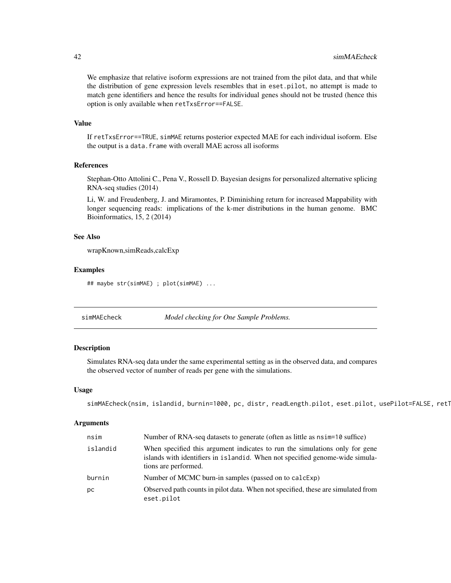We emphasize that relative isoform expressions are not trained from the pilot data, and that while the distribution of gene expression levels resembles that in eset.pilot, no attempt is made to match gene identifiers and hence the results for individual genes should not be trusted (hence this option is only available when retTxsError==FALSE.

#### Value

If retTxsError==TRUE, simMAE returns posterior expected MAE for each individual isoform. Else the output is a data.frame with overall MAE across all isoforms

# References

Stephan-Otto Attolini C., Pena V., Rossell D. Bayesian designs for personalized alternative splicing RNA-seq studies (2014)

Li, W. and Freudenberg, J. and Miramontes, P. Diminishing return for increased Mappability with longer sequencing reads: implications of the k-mer distributions in the human genome. BMC Bioinformatics, 15, 2 (2014)

#### See Also

wrapKnown,simReads,calcExp

#### Examples

```
## maybe str(simMAE) ; plot(simMAE) ...
```
simMAEcheck *Model checking for One Sample Problems.*

# Description

Simulates RNA-seq data under the same experimental setting as in the observed data, and compares the observed vector of number of reads per gene with the simulations.

#### Usage

```
simMAEcheck(nsim, islandid, burnin=1000, pc, distr, readLength.pilot, eset.pilot, usePilot=FALSE, ret1
```

| nsim     | Number of RNA-seq datasets to generate (often as little as $nsim=10$ suffice)                                                                                                       |
|----------|-------------------------------------------------------------------------------------------------------------------------------------------------------------------------------------|
| islandid | When specified this argument indicates to run the simulations only for gene<br>islands with identifiers in islandid. When not specified genome-wide simula-<br>tions are performed. |
| burnin   | Number of MCMC burn-in samples (passed on to calcExp)                                                                                                                               |
| рc       | Observed path counts in pilot data. When not specified, these are simulated from<br>eset.pilot                                                                                      |

<span id="page-41-0"></span>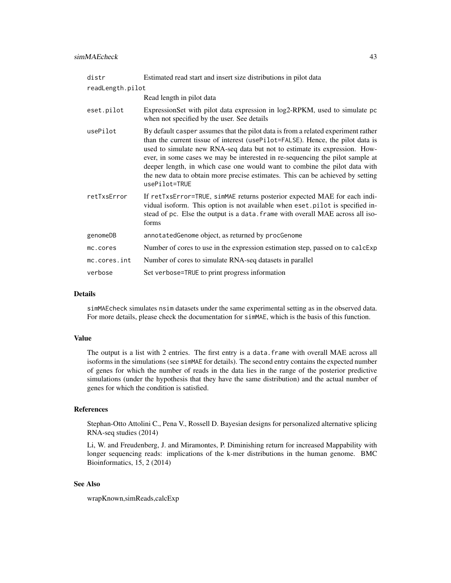| distr            | Estimated read start and insert size distributions in pilot data                                                                                                                                                                                                                                                                                                                                                                                                                                                    |  |
|------------------|---------------------------------------------------------------------------------------------------------------------------------------------------------------------------------------------------------------------------------------------------------------------------------------------------------------------------------------------------------------------------------------------------------------------------------------------------------------------------------------------------------------------|--|
| readLength.pilot |                                                                                                                                                                                                                                                                                                                                                                                                                                                                                                                     |  |
|                  | Read length in pilot data                                                                                                                                                                                                                                                                                                                                                                                                                                                                                           |  |
| eset.pilot       | ExpressionSet with pilot data expression in log2-RPKM, used to simulate pc<br>when not specified by the user. See details                                                                                                                                                                                                                                                                                                                                                                                           |  |
| usePilot         | By default casper assumes that the pilot data is from a related experiment rather<br>than the current tissue of interest (usePilot=FALSE). Hence, the pilot data is<br>used to simulate new RNA-seq data but not to estimate its expression. How-<br>ever, in some cases we may be interested in re-sequencing the pilot sample at<br>deeper length, in which case one would want to combine the pilot data with<br>the new data to obtain more precise estimates. This can be achieved by setting<br>usePilot=TRUE |  |
| retTxsError      | If retTxsError=TRUE, simMAE returns posterior expected MAE for each indi-<br>vidual isoform. This option is not available when eset pilot is specified in-<br>stead of pc. Else the output is a data. frame with overall MAE across all iso-<br>forms                                                                                                                                                                                                                                                               |  |
| genomeDB         | annotatedGenome object, as returned by procGenome                                                                                                                                                                                                                                                                                                                                                                                                                                                                   |  |
| mc.cores         | Number of cores to use in the expression estimation step, passed on to calcExp                                                                                                                                                                                                                                                                                                                                                                                                                                      |  |
| mc.cores.int     | Number of cores to simulate RNA-seq datasets in parallel                                                                                                                                                                                                                                                                                                                                                                                                                                                            |  |
| verbose          | Set verbose=TRUE to print progress information                                                                                                                                                                                                                                                                                                                                                                                                                                                                      |  |

# Details

simMAEcheck simulates nsim datasets under the same experimental setting as in the observed data. For more details, please check the documentation for simMAE, which is the basis of this function.

#### Value

The output is a list with 2 entries. The first entry is a data.frame with overall MAE across all isoforms in the simulations (see simMAE for details). The second entry contains the expected number of genes for which the number of reads in the data lies in the range of the posterior predictive simulations (under the hypothesis that they have the same distribution) and the actual number of genes for which the condition is satisfied.

# References

Stephan-Otto Attolini C., Pena V., Rossell D. Bayesian designs for personalized alternative splicing RNA-seq studies (2014)

Li, W. and Freudenberg, J. and Miramontes, P. Diminishing return for increased Mappability with longer sequencing reads: implications of the k-mer distributions in the human genome. BMC Bioinformatics, 15, 2 (2014)

# See Also

wrapKnown,simReads,calcExp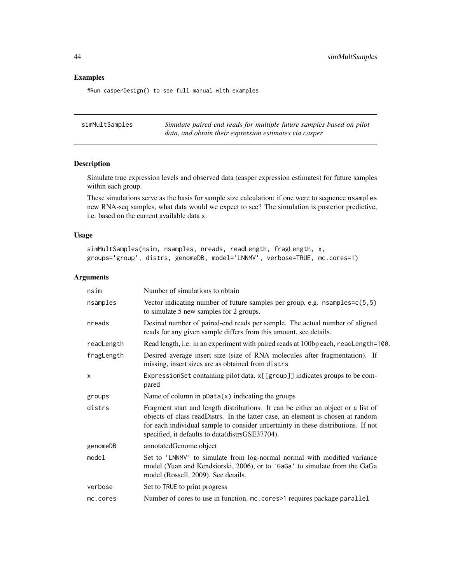# Examples

#Run casperDesign() to see full manual with examples

| simMultSamples | Simulate paired end reads for multiple future samples based on pilot |
|----------------|----------------------------------------------------------------------|
|                | data, and obtain their expression estimates via casper               |

# Description

Simulate true expression levels and observed data (casper expression estimates) for future samples within each group.

These simulations serve as the basis for sample size calculation: if one were to sequence nsamples new RNA-seq samples, what data would we expect to see? The simulation is posterior predictive, i.e. based on the current available data x.

# Usage

```
simMultSamples(nsim, nsamples, nreads, readLength, fragLength, x,
groups='group', distrs, genomeDB, model='LNNMV', verbose=TRUE, mc.cores=1)
```

| nsim                      | Number of simulations to obtain                                                                                                                                                                                                                                                                             |
|---------------------------|-------------------------------------------------------------------------------------------------------------------------------------------------------------------------------------------------------------------------------------------------------------------------------------------------------------|
| nsamples                  | Vector indicating number of future samples per group, e.g. $n$ samples= $c(5,5)$<br>to simulate 5 new samples for 2 groups.                                                                                                                                                                                 |
| nreads                    | Desired number of paired-end reads per sample. The actual number of aligned<br>reads for any given sample differs from this amount, see details.                                                                                                                                                            |
| readLength                | Read length, i.e. in an experiment with paired reads at 100bp each, readLength=100.                                                                                                                                                                                                                         |
| fragLength                | Desired average insert size (size of RNA molecules after fragmentation). If<br>missing, insert sizes are as obtained from distrs                                                                                                                                                                            |
| $\boldsymbol{\mathsf{x}}$ | ExpressionSet containing pilot data. x[[group]] indicates groups to be com-<br>pared                                                                                                                                                                                                                        |
| groups                    | Name of column in $pData(x)$ indicating the groups                                                                                                                                                                                                                                                          |
| distrs                    | Fragment start and length distributions. It can be either an object or a list of<br>objects of class readDistrs. In the latter case, an element is chosen at random<br>for each individual sample to consider uncertainty in these distributions. If not<br>specified, it defaults to data(distrsGSE37704). |
| genomeDB                  | annotatedGenome object                                                                                                                                                                                                                                                                                      |
| model                     | Set to 'LNNMV' to simulate from log-normal normal with modified variance<br>model (Yuan and Kendsiorski, 2006), or to 'GaGa' to simulate from the GaGa<br>model (Rossell, 2009). See details.                                                                                                               |
| verbose                   | Set to TRUE to print progress                                                                                                                                                                                                                                                                               |
| mc.cores                  | Number of cores to use in function. mc. cores >1 requires package parallel                                                                                                                                                                                                                                  |

<span id="page-43-0"></span>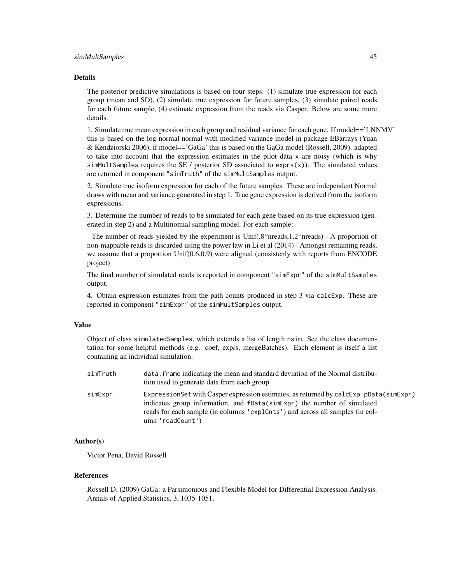#### simMultSamples 45

#### Details

The posterior predictive simulations is based on four steps: (1) simulate true expression for each group (mean and SD), (2) simulate true expression for future samples, (3) simulate paired reads for each future sample, (4) estimate expression from the reads via Casper. Below are some more details.

1. Simulate true mean expression in each group and residual variance for each gene. If model=='LNNMV' this is based on the log-normal normal with modified variance model in package EBarrays (Yuan & Kendziorski 2006), if model=='GaGa' this is based on the GaGa model (Rossell, 2009). adapted to take into account that the expression estimates in the pilot data x are noisy (which is why simMultSamples requires the SE / posterior SD associated to exprs $(x)$ ). The simulated values are returned in component "simTruth" of the simMultSamples output.

2. Simulate true isoform expression for each of the future samples. These are independent Normal draws with mean and variance generated in step 1. True gene expression is derived from the isoform expressions.

3. Determine the number of reads to be simulated for each gene based on its true expression (generated in step 2) and a Multinomial sampling model. For each sample:

- The number of reads yielded by the experiment is Unif(.8\*nreads,1.2\*nreads) - A proportion of non-mappable reads is discarded using the power law in Li et al (2014) - Amongst remaining reads, we assume that a proportion Unif(0.6,0.9) were aligned (consistenly with reports from ENCODE project)

The final number of simulated reads is reported in component "simExpr" of the simMultSamples output.

4. Obtain expression estimates from the path counts produced in step 3 via calcExp. These are reported in component "simExpr" of the simMultSamples output.

# Value

Object of class simulatedSamples, which extends a list of length nsim. See the class documentation for some helpful methods (e.g. coef, exprs, mergeBatches). Each element is itself a list containing an individual simulation.

| simTruth | data, frame indicating the mean and standard deviation of the Normal distribu-<br>tion used to generate data from each group                                                                                                                                            |
|----------|-------------------------------------------------------------------------------------------------------------------------------------------------------------------------------------------------------------------------------------------------------------------------|
| simExpr  | Expression Set with Casper expression estimates, as returned by calcExp. pData(simExpr)<br>indicates group information, and fData(simExpr) the number of simulated<br>reads for each sample (in columns 'explCnts') and across all samples (in col-<br>umn 'readCount') |

# Author(s)

Victor Pena, David Rossell

#### References

Rossell D. (2009) GaGa: a Parsimonious and Flexible Model for Differential Expression Analysis. Annals of Applied Statistics, 3, 1035-1051.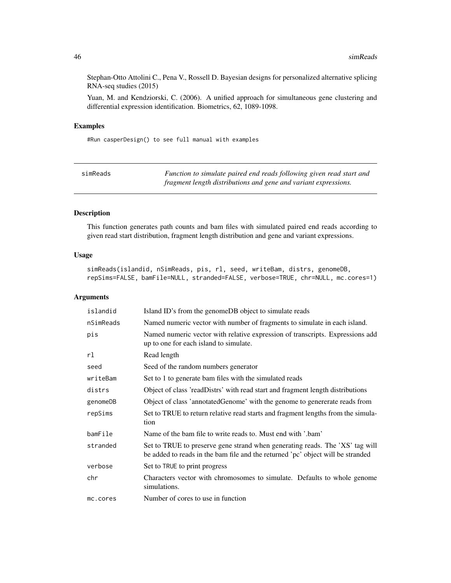Stephan-Otto Attolini C., Pena V., Rossell D. Bayesian designs for personalized alternative splicing RNA-seq studies (2015)

Yuan, M. and Kendziorski, C. (2006). A unified approach for simultaneous gene clustering and differential expression identification. Biometrics, 62, 1089-1098.

# Examples

#Run casperDesign() to see full manual with examples

| simReads | Function to simulate paired end reads following given read start and |
|----------|----------------------------------------------------------------------|
|          | fragment length distributions and gene and variant expressions.      |

# Description

This function generates path counts and bam files with simulated paired end reads according to given read start distribution, fragment length distribution and gene and variant expressions.

# Usage

simReads(islandid, nSimReads, pis, rl, seed, writeBam, distrs, genomeDB, repSims=FALSE, bamFile=NULL, stranded=FALSE, verbose=TRUE, chr=NULL, mc.cores=1)

| islandid  | Island ID's from the genomeDB object to simulate reads                                                                                                          |
|-----------|-----------------------------------------------------------------------------------------------------------------------------------------------------------------|
| nSimReads | Named numeric vector with number of fragments to simulate in each island.                                                                                       |
| pis       | Named numeric vector with relative expression of transcripts. Expressions add<br>up to one for each island to simulate.                                         |
| rl        | Read length                                                                                                                                                     |
| seed      | Seed of the random numbers generator                                                                                                                            |
| writeBam  | Set to 1 to generate bam files with the simulated reads                                                                                                         |
| distrs    | Object of class 'readDistrs' with read start and fragment length distributions                                                                                  |
| genomeDB  | Object of class 'annotatedGenome' with the genome to genererate reads from                                                                                      |
| repSims   | Set to TRUE to return relative read starts and fragment lengths from the simula-<br>tion                                                                        |
| bamFile   | Name of the bam file to write reads to. Must end with '.bam'                                                                                                    |
| stranded  | Set to TRUE to preserve gene strand when generating reads. The 'XS' tag will<br>be added to reads in the bam file and the returned 'pc' object will be stranded |
| verbose   | Set to TRUE to print progress                                                                                                                                   |
| chr       | Characters vector with chromosomes to simulate. Defaults to whole genome<br>simulations.                                                                        |
| mc.cores  | Number of cores to use in function                                                                                                                              |

<span id="page-45-0"></span>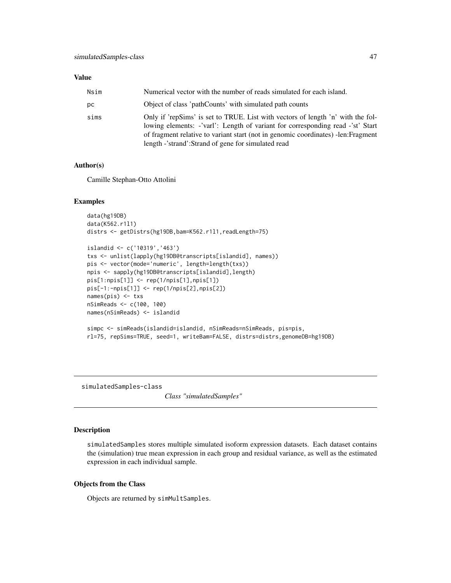#### <span id="page-46-0"></span>Value

| Nsim | Numerical vector with the number of reads simulated for each island.                                                                                                                                                                                                                                         |
|------|--------------------------------------------------------------------------------------------------------------------------------------------------------------------------------------------------------------------------------------------------------------------------------------------------------------|
| pс   | Object of class 'pathCounts' with simulated path counts                                                                                                                                                                                                                                                      |
| sims | Only if 'repSims' is set to TRUE. List with vectors of length 'n' with the fol-<br>lowing elements: -'varl': Length of variant for corresponding read -'st' Start<br>of fragment relative to variant start (not in genomic coordinates) -len: Fragment<br>length -'strand':Strand of gene for simulated read |

# Author(s)

Camille Stephan-Otto Attolini

#### Examples

```
data(hg19DB)
data(K562.r1l1)
distrs <- getDistrs(hg19DB,bam=K562.r1l1,readLength=75)
```

```
islandid <- c('10319','463')
txs <- unlist(lapply(hg19DB@transcripts[islandid], names))
pis <- vector(mode='numeric', length=length(txs))
npis <- sapply(hg19DB@transcripts[islandid],length)
pis[1:npis[1]] <- rep(1/npis[1],npis[1])
pis[-1:-npis[1]] <- rep(1/npis[2],npis[2])
names(pis) <- txs
nSimReads <- c(100, 100)
names(nSimReads) <- islandid
```

```
simpc <- simReads(islandid=islandid, nSimReads=nSimReads, pis=pis,
rl=75, repSims=TRUE, seed=1, writeBam=FALSE, distrs=distrs,genomeDB=hg19DB)
```
simulatedSamples-class

*Class "simulatedSamples"*

# Description

simulatedSamples stores multiple simulated isoform expression datasets. Each dataset contains the (simulation) true mean expression in each group and residual variance, as well as the estimated expression in each individual sample.

# Objects from the Class

Objects are returned by simMultSamples.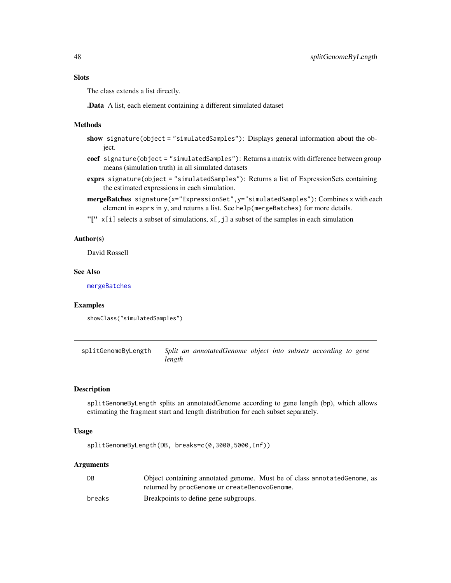# <span id="page-47-0"></span>**Slots**

The class extends a list directly.

.Data A list, each element containing a different simulated dataset

#### Methods

- show signature(object = "simulatedSamples"): Displays general information about the object.
- coef signature(object = "simulatedSamples"): Returns a matrix with difference between group means (simulation truth) in all simulated datasets
- exprs signature(object = "simulatedSamples"): Returns a list of ExpressionSets containing the estimated expressions in each simulation.
- mergeBatches signature(x="ExpressionSet",y="simulatedSamples"): Combines x with each element in exprs in y, and returns a list. See help(mergeBatches) for more details.
- "[" x[i] selects a subset of simulations, x[, j] a subset of the samples in each simulation

# Author(s)

David Rossell

#### See Also

[mergeBatches](#page-21-1)

#### Examples

showClass("simulatedSamples")

splitGenomeByLength *Split an annotatedGenome object into subsets according to gene length*

## Description

splitGenomeByLength splits an annotatedGenome according to gene length (bp), which allows estimating the fragment start and length distribution for each subset separately.

#### Usage

splitGenomeByLength(DB, breaks=c(0,3000,5000,Inf))

| DB     | Object containing annotated genome. Must be of class annotated Genome, as |
|--------|---------------------------------------------------------------------------|
|        | returned by procGenome or createDenovoGenome.                             |
| breaks | Breakpoints to define gene subgroups.                                     |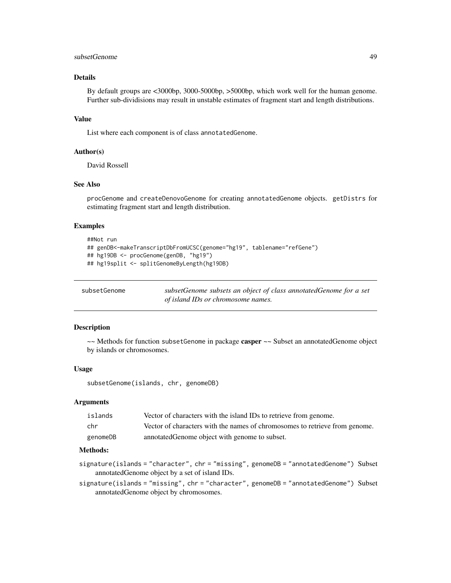# <span id="page-48-0"></span>subsetGenome 49

# Details

By default groups are <3000bp, 3000-5000bp, >5000bp, which work well for the human genome. Further sub-dividisions may result in unstable estimates of fragment start and length distributions.

# Value

List where each component is of class annotatedGenome.

#### Author(s)

David Rossell

# See Also

procGenome and createDenovoGenome for creating annotatedGenome objects. getDistrs for estimating fragment start and length distribution.

# Examples

```
##Not run
## genDB<-makeTranscriptDbFromUCSC(genome="hg19", tablename="refGene")
## hg19DB <- procGenome(genDB, "hg19")
## hg19split <- splitGenomeByLength(hg19DB)
```
subsetGenome *subsetGenome subsets an object of class annotatedGenome for a set of island IDs or chromosome names.*

#### Description

 $\sim$  Methods for function subsetGenome in package casper  $\sim$  Subset an annotatedGenome object by islands or chromosomes.

#### Usage

subsetGenome(islands, chr, genomeDB)

#### Arguments

| islands  | Vector of characters with the island IDs to retrieve from genome.           |
|----------|-----------------------------------------------------------------------------|
| chr      | Vector of characters with the names of chromosomes to retrieve from genome. |
| genomeDB | annotated Genome object with genome to subset.                              |

#### Methods:

- signature(islands = "character", chr = "missing", genomeDB = "annotatedGenome") Subset annotatedGenome object by a set of island IDs.
- signature(islands = "missing", chr = "character", genomeDB = "annotatedGenome") Subset annotatedGenome object by chromosomes.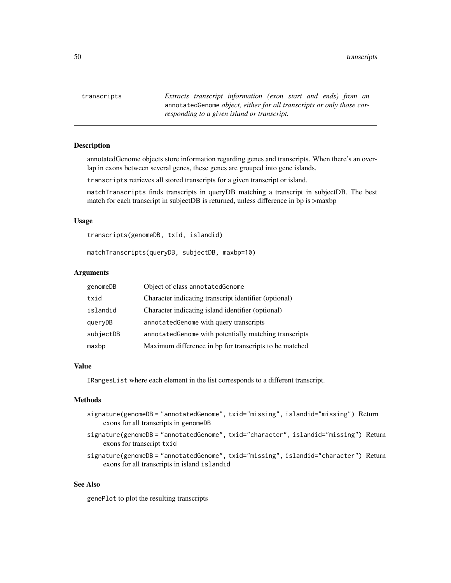<span id="page-49-0"></span>50 transcripts

transcripts *Extracts transcript information (exon start and ends) from an* annotatedGenome *object, either for all transcripts or only those corresponding to a given island or transcript.*

# Description

annotatedGenome objects store information regarding genes and transcripts. When there's an overlap in exons between several genes, these genes are grouped into gene islands.

transcripts retrieves all stored transcripts for a given transcript or island.

matchTranscripts finds transcripts in queryDB matching a transcript in subjectDB. The best match for each transcript in subjectDB is returned, unless difference in bp is >maxbp

#### Usage

transcripts(genomeDB, txid, islandid)

matchTranscripts(queryDB, subjectDB, maxbp=10)

#### Arguments

| genomeDB  | Object of class annotated Genome                       |
|-----------|--------------------------------------------------------|
| txid      | Character indicating transcript identifier (optional)  |
| islandid  | Character indicating island identifier (optional)      |
| queryDB   | annotated Genome with query transcripts                |
| subjectDB | annotated Genome with potentially matching transcripts |
| maxbp     | Maximum difference in bp for transcripts to be matched |

#### Value

IRangesList where each element in the list corresponds to a different transcript.

# Methods

- signature(genomeDB = "annotatedGenome", txid="missing", islandid="missing") Return exons for all transcripts in genomeDB
- signature(genomeDB = "annotatedGenome", txid="character", islandid="missing") Return exons for transcript txid
- signature(genomeDB = "annotatedGenome", txid="missing", islandid="character") Return exons for all transcripts in island islandid

# See Also

genePlot to plot the resulting transcripts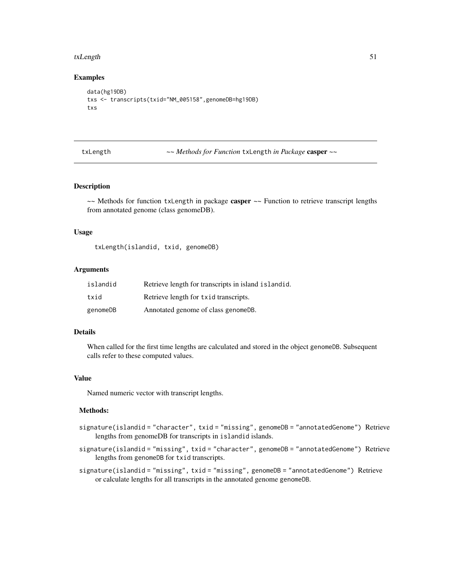#### <span id="page-50-0"></span>txLength 51

#### Examples

```
data(hg19DB)
txs <- transcripts(txid="NM_005158",genomeDB=hg19DB)
txs
```
txLength *~~ Methods for Function* txLength *in Package* casper *~~*

# Description

~~ Methods for function txLength in package casper ~~ Function to retrieve transcript lengths from annotated genome (class genomeDB).

#### Usage

txLength(islandid, txid, genomeDB)

#### Arguments

| islandid | Retrieve length for transcripts in island islandid. |
|----------|-----------------------------------------------------|
| txid     | Retrieve length for txid transcripts.               |
| genomeDB | Annotated genome of class genomeDB.                 |

# Details

When called for the first time lengths are calculated and stored in the object genomeDB. Subsequent calls refer to these computed values.

#### Value

Named numeric vector with transcript lengths.

# Methods:

- signature(islandid = "character", txid = "missing", genomeDB = "annotatedGenome") Retrieve lengths from genomeDB for transcripts in islandid islands.
- signature(islandid = "missing", txid = "character", genomeDB = "annotatedGenome") Retrieve lengths from genomeDB for txid transcripts.
- signature(islandid = "missing", txid = "missing", genomeDB = "annotatedGenome") Retrieve or calculate lengths for all transcripts in the annotated genome genomeDB.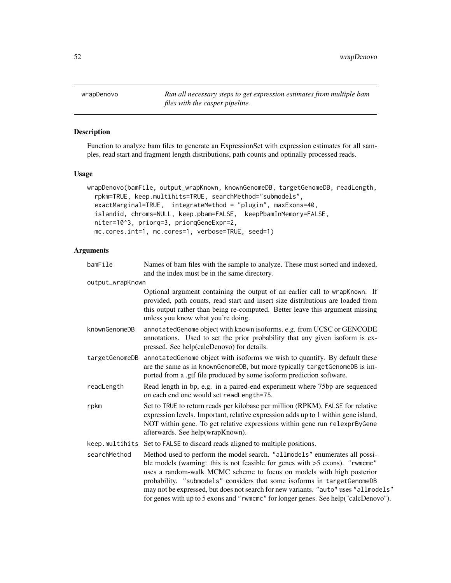<span id="page-51-0"></span>wrapDenovo *Run all necessary steps to get expression estimates from multiple bam files with the casper pipeline.*

# Description

Function to analyze bam files to generate an ExpressionSet with expression estimates for all samples, read start and fragment length distributions, path counts and optinally processed reads.

# Usage

```
wrapDenovo(bamFile, output_wrapKnown, knownGenomeDB, targetGenomeDB, readLength,
  rpkm=TRUE, keep.multihits=TRUE, searchMethod="submodels",
 exactMarginal=TRUE, integrateMethod = "plugin", maxExons=40,
  islandid, chroms=NULL, keep.pbam=FALSE, keepPbamInMemory=FALSE,
 niter=10^3, priorq=3, priorqGeneExpr=2,
 mc.cores.int=1, mc.cores=1, verbose=TRUE, seed=1)
```

| bamFile          | Names of bam files with the sample to analyze. These must sorted and indexed,<br>and the index must be in the same directory.                                                                                                                                                                                                                                                                                                                                                                  |
|------------------|------------------------------------------------------------------------------------------------------------------------------------------------------------------------------------------------------------------------------------------------------------------------------------------------------------------------------------------------------------------------------------------------------------------------------------------------------------------------------------------------|
| output_wrapKnown |                                                                                                                                                                                                                                                                                                                                                                                                                                                                                                |
|                  | Optional argument containing the output of an earlier call to wrapKnown. If<br>provided, path counts, read start and insert size distributions are loaded from<br>this output rather than being re-computed. Better leave this argument missing<br>unless you know what you're doing.                                                                                                                                                                                                          |
| knownGenomeDB    | annotatedGenome object with known isoforms, e.g. from UCSC or GENCODE<br>annotations. Used to set the prior probability that any given isoform is ex-<br>pressed. See help(calcDenovo) for details.                                                                                                                                                                                                                                                                                            |
| targetGenomeDB   | annotatedGenome object with isoforms we wish to quantify. By default these<br>are the same as in knownGenomeDB, but more typically targetGenomeDB is im-<br>ported from a .gtf file produced by some isoform prediction software.                                                                                                                                                                                                                                                              |
| readLength       | Read length in bp, e.g. in a paired-end experiment where 75bp are sequenced<br>on each end one would set readLength=75.                                                                                                                                                                                                                                                                                                                                                                        |
| rpkm             | Set to TRUE to return reads per kilobase per million (RPKM), FALSE for relative<br>expression levels. Important, relative expression adds up to 1 within gene island,<br>NOT within gene. To get relative expressions within gene run relexprByGene<br>afterwards. See help(wrapKnown).                                                                                                                                                                                                        |
|                  | keep. multihits Set to FALSE to discard reads aligned to multiple positions.                                                                                                                                                                                                                                                                                                                                                                                                                   |
| searchMethod     | Method used to perform the model search. "allmodels" enumerates all possi-<br>ble models (warning: this is not feasible for genes with $>5$ exons). "rwmcmc"<br>uses a random-walk MCMC scheme to focus on models with high posterior<br>probability. "submodels" considers that some isoforms in targetGenomeDB<br>may not be expressed, but does not search for new variants. "auto" uses "allmodels"<br>for genes with up to 5 exons and "rwmcmc" for longer genes. See help("calcDenovo"). |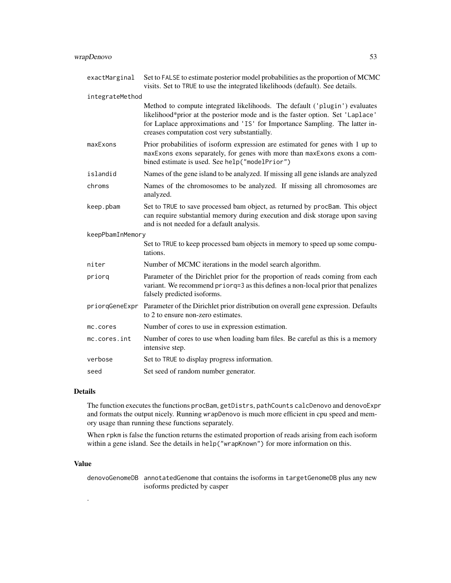| exactMarginal    | Set to FALSE to estimate posterior model probabilities as the proportion of MCMC<br>visits. Set to TRUE to use the integrated likelihoods (default). See details.                                                                                                                           |
|------------------|---------------------------------------------------------------------------------------------------------------------------------------------------------------------------------------------------------------------------------------------------------------------------------------------|
| integrateMethod  |                                                                                                                                                                                                                                                                                             |
|                  | Method to compute integrated likelihoods. The default ('plugin') evaluates<br>likelihood*prior at the posterior mode and is the faster option. Set 'Laplace'<br>for Laplace approximations and 'IS' for Importance Sampling. The latter in-<br>creases computation cost very substantially. |
| maxExons         | Prior probabilities of isoform expression are estimated for genes with 1 up to<br>maxExons exons separately, for genes with more than maxExons exons a com-<br>bined estimate is used. See help("modelPrior")                                                                               |
| islandid         | Names of the gene island to be analyzed. If missing all gene islands are analyzed                                                                                                                                                                                                           |
| chroms           | Names of the chromosomes to be analyzed. If missing all chromosomes are<br>analyzed.                                                                                                                                                                                                        |
| keep.pbam        | Set to TRUE to save processed bam object, as returned by procBam. This object<br>can require substantial memory during execution and disk storage upon saving<br>and is not needed for a default analysis.                                                                                  |
| keepPbamInMemory |                                                                                                                                                                                                                                                                                             |
|                  | Set to TRUE to keep processed bam objects in memory to speed up some compu-<br>tations.                                                                                                                                                                                                     |
| niter            | Number of MCMC iterations in the model search algorithm.                                                                                                                                                                                                                                    |
| priorq           | Parameter of the Dirichlet prior for the proportion of reads coming from each<br>variant. We recommend priorq=3 as this defines a non-local prior that penalizes<br>falsely predicted isoforms.                                                                                             |
|                  | priorqGeneExpr Parameter of the Dirichlet prior distribution on overall gene expression. Defaults<br>to 2 to ensure non-zero estimates.                                                                                                                                                     |
| mc.cores         | Number of cores to use in expression estimation.                                                                                                                                                                                                                                            |
| mc.cores.int     | Number of cores to use when loading bam files. Be careful as this is a memory<br>intensive step.                                                                                                                                                                                            |
| verbose          | Set to TRUE to display progress information.                                                                                                                                                                                                                                                |
| seed             | Set seed of random number generator.                                                                                                                                                                                                                                                        |

# Details

The function executes the functions procBam, getDistrs, pathCounts calcDenovo and denovoExpr and formats the output nicely. Running wrapDenovo is much more efficient in cpu speed and memory usage than running these functions separately.

When rpkm is false the function returns the estimated proportion of reads arising from each isoform within a gene island. See the details in help("wrapKnown") for more information on this.

# Value

.

denovoGenomeDB annotatedGenome that contains the isoforms in targetGenomeDB plus any new isoforms predicted by casper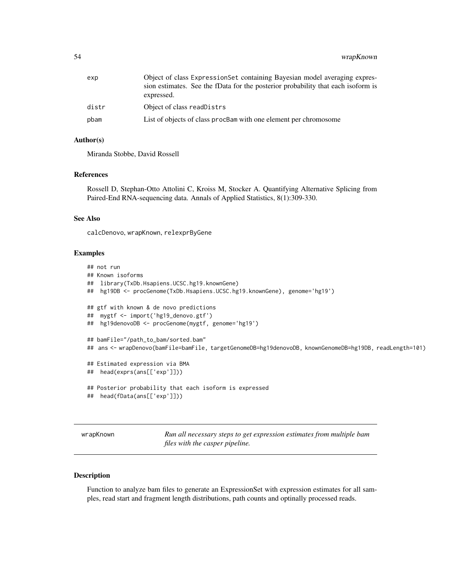<span id="page-53-0"></span>

| exp   | Object of class ExpressionSet containing Bayesian model averaging expres-<br>sion estimates. See the fData for the posterior probability that each isoform is<br>expressed. |
|-------|-----------------------------------------------------------------------------------------------------------------------------------------------------------------------------|
| distr | Object of class readDistrs                                                                                                                                                  |
| pbam  | List of objects of class procBam with one element per chromosome                                                                                                            |

#### Author(s)

Miranda Stobbe, David Rossell

#### References

Rossell D, Stephan-Otto Attolini C, Kroiss M, Stocker A. Quantifying Alternative Splicing from Paired-End RNA-sequencing data. Annals of Applied Statistics, 8(1):309-330.

# See Also

calcDenovo, wrapKnown, relexprByGene

#### Examples

```
## not run
## Known isoforms
## library(TxDb.Hsapiens.UCSC.hg19.knownGene)
## hg19DB <- procGenome(TxDb.Hsapiens.UCSC.hg19.knownGene), genome='hg19')
## gtf with known & de novo predictions
## mygtf <- import('hg19_denovo.gtf')
## hg19denovoDB <- procGenome(mygtf, genome='hg19')
## bamFile="/path_to_bam/sorted.bam"
## ans <- wrapDenovo(bamFile=bamFile, targetGenomeDB=hg19denovoDB, knownGenomeDB=hg19DB, readLength=101)
## Estimated expression via BMA
## head(exprs(ans[['exp']]))
## Posterior probability that each isoform is expressed
## head(fData(ans[['exp']]))
```
wrapKnown *Run all necessary steps to get expression estimates from multiple bam files with the casper pipeline.*

#### Description

Function to analyze bam files to generate an ExpressionSet with expression estimates for all samples, read start and fragment length distributions, path counts and optinally processed reads.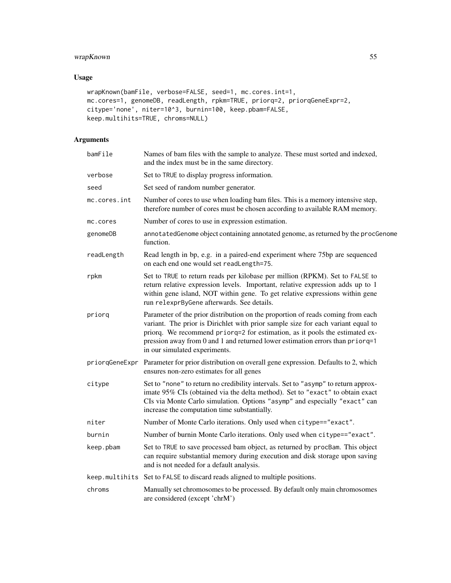# wrapKnown 55

# Usage

```
wrapKnown(bamFile, verbose=FALSE, seed=1, mc.cores.int=1,
mc.cores=1, genomeDB, readLength, rpkm=TRUE, priorq=2, priorqGeneExpr=2,
citype='none', niter=10^3, burnin=100, keep.pbam=FALSE,
keep.multihits=TRUE, chroms=NULL)
```

| bamFile      | Names of bam files with the sample to analyze. These must sorted and indexed,<br>and the index must be in the same directory.                                                                                                                                                                                                                                        |
|--------------|----------------------------------------------------------------------------------------------------------------------------------------------------------------------------------------------------------------------------------------------------------------------------------------------------------------------------------------------------------------------|
| verbose      | Set to TRUE to display progress information.                                                                                                                                                                                                                                                                                                                         |
| seed         | Set seed of random number generator.                                                                                                                                                                                                                                                                                                                                 |
| mc.cores.int | Number of cores to use when loading bam files. This is a memory intensive step,<br>therefore number of cores must be chosen according to available RAM memory.                                                                                                                                                                                                       |
| mc.cores     | Number of cores to use in expression estimation.                                                                                                                                                                                                                                                                                                                     |
| genomeDB     | annotatedGenome object containing annotated genome, as returned by the procGenome<br>function.                                                                                                                                                                                                                                                                       |
| readLength   | Read length in bp, e.g. in a paired-end experiment where 75bp are sequenced<br>on each end one would set readLength=75.                                                                                                                                                                                                                                              |
| rpkm         | Set to TRUE to return reads per kilobase per million (RPKM). Set to FALSE to<br>return relative expression levels. Important, relative expression adds up to 1<br>within gene island, NOT within gene. To get relative expressions within gene<br>run relexprByGene afterwards. See details.                                                                         |
| priorq       | Parameter of the prior distribution on the proportion of reads coming from each<br>variant. The prior is Dirichlet with prior sample size for each variant equal to<br>priorq. We recommend priorq=2 for estimation, as it pools the estimated ex-<br>pression away from 0 and 1 and returned lower estimation errors than priorq=1<br>in our simulated experiments. |
|              | priorqGeneExpr Parameter for prior distribution on overall gene expression. Defaults to 2, which<br>ensures non-zero estimates for all genes                                                                                                                                                                                                                         |
| citype       | Set to "none" to return no credibility intervals. Set to "asymp" to return approx-<br>imate 95% CIs (obtained via the delta method). Set to "exact" to obtain exact<br>CIs via Monte Carlo simulation. Options "asymp" and especially "exact" can<br>increase the computation time substantially.                                                                    |
| niter        | Number of Monte Carlo iterations. Only used when citype=="exact".                                                                                                                                                                                                                                                                                                    |
| burnin       | Number of burnin Monte Carlo iterations. Only used when citype=="exact".                                                                                                                                                                                                                                                                                             |
| keep.pbam    | Set to TRUE to save processed bam object, as returned by procBam. This object<br>can require substantial memory during execution and disk storage upon saving<br>and is not needed for a default analysis.                                                                                                                                                           |
|              | keep. multihits Set to FALSE to discard reads aligned to multiple positions.                                                                                                                                                                                                                                                                                         |
| chroms       | Manually set chromosomes to be processed. By default only main chromosomes<br>are considered (except 'chrM')                                                                                                                                                                                                                                                         |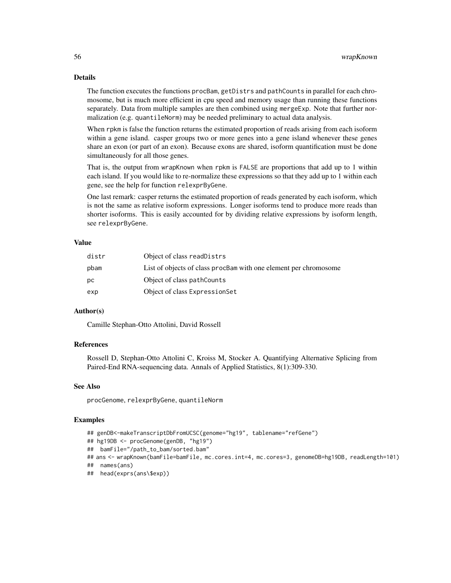# Details

The function executes the functions procBam, getDistrs and pathCounts in parallel for each chromosome, but is much more efficient in cpu speed and memory usage than running these functions separately. Data from multiple samples are then combined using mergeExp. Note that further normalization (e.g. quantileNorm) may be needed preliminary to actual data analysis.

When rpkm is false the function returns the estimated proportion of reads arising from each isoform within a gene island. casper groups two or more genes into a gene island whenever these genes share an exon (or part of an exon). Because exons are shared, isoform quantification must be done simultaneously for all those genes.

That is, the output from wrapKnown when rpkm is FALSE are proportions that add up to 1 within each island. If you would like to re-normalize these expressions so that they add up to 1 within each gene, see the help for function relexprByGene.

One last remark: casper returns the estimated proportion of reads generated by each isoform, which is not the same as relative isoform expressions. Longer isoforms tend to produce more reads than shorter isoforms. This is easily accounted for by dividing relative expressions by isoform length, see relexprByGene.

#### Value

| distr | Object of class readDistrs                                       |
|-------|------------------------------------------------------------------|
| pbam  | List of objects of class procBam with one element per chromosome |
| DС    | Object of class pathCounts                                       |
| exp   | Object of class ExpressionSet                                    |

# Author(s)

Camille Stephan-Otto Attolini, David Rossell

# References

Rossell D, Stephan-Otto Attolini C, Kroiss M, Stocker A. Quantifying Alternative Splicing from Paired-End RNA-sequencing data. Annals of Applied Statistics, 8(1):309-330.

# See Also

procGenome, relexprByGene, quantileNorm

#### Examples

```
## genDB<-makeTranscriptDbFromUCSC(genome="hg19", tablename="refGene")
```

```
## hg19DB <- procGenome(genDB, "hg19")
```
## bamFile="/path\_to\_bam/sorted.bam"

```
## ans <- wrapKnown(bamFile=bamFile, mc.cores.int=4, mc.cores=3, genomeDB=hg19DB, readLength=101)
```

```
## names(ans)
```

```
## head(exprs(ans\$exp))
```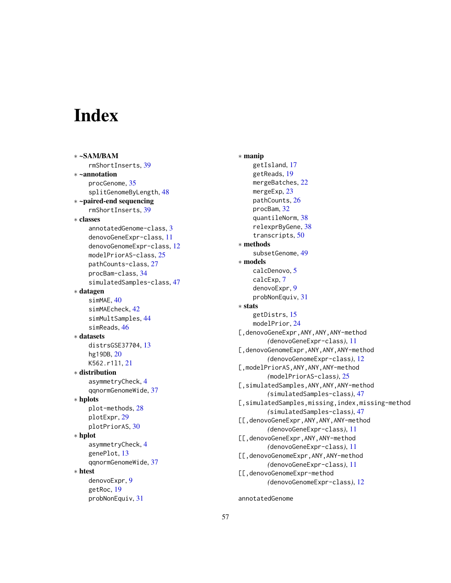# <span id="page-56-0"></span>**Index**

∗ ~SAM/BAM rmShortInserts, [39](#page-38-0) ∗ ~annotation procGenome, [35](#page-34-0) splitGenomeByLength, [48](#page-47-0) ∗ ~paired-end sequencing rmShortInserts, [39](#page-38-0) ∗ classes annotatedGenome-class, [3](#page-2-0) denovoGeneExpr-class, [11](#page-10-0) denovoGenomeExpr-class, [12](#page-11-0) modelPriorAS-class, [25](#page-24-0) pathCounts-class, [27](#page-26-0) procBam-class, [34](#page-33-0) simulatedSamples-class, [47](#page-46-0) ∗ datagen simMAE, [40](#page-39-0) simMAEcheck, [42](#page-41-0) simMultSamples, [44](#page-43-0) simReads, [46](#page-45-0) ∗ datasets distrsGSE37704, [13](#page-12-0) hg19DB, [20](#page-19-0) K562.r1l1, [21](#page-20-0) ∗ distribution asymmetryCheck, [4](#page-3-0) qqnormGenomeWide, [37](#page-36-0) ∗ hplots plot-methods, [28](#page-27-0) plotExpr, [29](#page-28-0) plotPriorAS, [30](#page-29-0) ∗ hplot asymmetryCheck, [4](#page-3-0) genePlot, [13](#page-12-0) qqnormGenomeWide, [37](#page-36-0) ∗ htest denovoExpr, [9](#page-8-0) getRoc, [19](#page-18-0) probNonEquiv, [31](#page-30-0)

∗ manip getIsland, [17](#page-16-0) getReads, [19](#page-18-0) mergeBatches, [22](#page-21-0) mergeExp, [23](#page-22-0) pathCounts, [26](#page-25-0) procBam, [32](#page-31-0) quantileNorm, [38](#page-37-0) relexprByGene, [38](#page-37-0) transcripts, [50](#page-49-0) ∗ methods subsetGenome, [49](#page-48-0) ∗ models calcDenovo, [5](#page-4-0) calcExp, [7](#page-6-0) denovoExpr, [9](#page-8-0) probNonEquiv, [31](#page-30-0) ∗ stats getDistrs, [15](#page-14-0) modelPrior, [24](#page-23-0) [,denovoGeneExpr,ANY,ANY,ANY-method *(*denovoGeneExpr-class*)*, [11](#page-10-0) [,denovoGenomeExpr,ANY,ANY,ANY-method *(*denovoGenomeExpr-class*)*, [12](#page-11-0) [,modelPriorAS,ANY,ANY,ANY-method *(*modelPriorAS-class*)*, [25](#page-24-0) [,simulatedSamples,ANY,ANY,ANY-method *(*simulatedSamples-class*)*, [47](#page-46-0) [,simulatedSamples,missing,index,missing-method *(*simulatedSamples-class*)*, [47](#page-46-0) [[,denovoGeneExpr,ANY,ANY,ANY-method *(*denovoGeneExpr-class*)*, [11](#page-10-0) [[,denovoGeneExpr,ANY,ANY-method *(*denovoGeneExpr-class*)*, [11](#page-10-0) [[,denovoGenomeExpr,ANY,ANY-method *(*denovoGeneExpr-class*)*, [11](#page-10-0) [[,denovoGenomeExpr-method *(*denovoGenomeExpr-class*)*, [12](#page-11-0)

annotatedGenome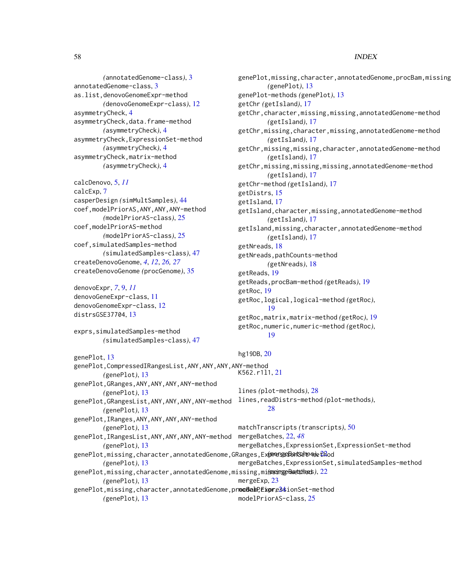58 INDEX

*(*annotatedGenome-class*)*, [3](#page-2-0) annotatedGenome-class, [3](#page-2-0) as.list,denovoGenomeExpr-method *(*denovoGenomeExpr-class*)*, [12](#page-11-0) asymmetryCheck, [4](#page-3-0) asymmetryCheck,data.frame-method *(*asymmetryCheck*)*, [4](#page-3-0) asymmetryCheck,ExpressionSet-method *(*asymmetryCheck*)*, [4](#page-3-0) asymmetryCheck,matrix-method *(*asymmetryCheck*)*, [4](#page-3-0)

calcDenovo, [5,](#page-4-0) *[11](#page-10-0)* calcExp, [7](#page-6-0) casperDesign *(*simMultSamples*)*, [44](#page-43-0) coef,modelPriorAS,ANY,ANY,ANY-method *(*modelPriorAS-class*)*, [25](#page-24-0) coef,modelPriorAS-method *(*modelPriorAS-class*)*, [25](#page-24-0) coef,simulatedSamples-method *(*simulatedSamples-class*)*, [47](#page-46-0) createDenovoGenome, *[4](#page-3-0)*, *[12](#page-11-0)*, *[26,](#page-25-0) [27](#page-26-0)* createDenovoGenome *(*procGenome*)*, [35](#page-34-0)

denovoExpr, *[7](#page-6-0)*, [9,](#page-8-0) *[11](#page-10-0)* denovoGeneExpr-class, [11](#page-10-0) denovoGenomeExpr-class, [12](#page-11-0) distrsGSE37704, [13](#page-12-0)

exprs,simulatedSamples-method *(*simulatedSamples-class*)*, [47](#page-46-0)

genePlot, [13](#page-12-0)

genePlot,CompressedIRangesList,ANY,ANY,ANY,ANY-method *(*genePlot*)*, [13](#page-12-0) genePlot,GRanges,ANY,ANY,ANY,ANY-method *(*genePlot*)*, [13](#page-12-0) genePlot,GRangesList,ANY,ANY,ANY,ANY-method lines,readDistrs-method *(*plot-methods*)*, *(*genePlot*)*, [13](#page-12-0) genePlot,IRanges,ANY,ANY,ANY,ANY-method *(*genePlot*)*, [13](#page-12-0) genePlot,IRangesList,ANY,ANY,ANY,ANY-method *(*genePlot*)*, [13](#page-12-0) genePlot,missing,character,annotatedGenome,GRanges,Ex**prergeBatSchespet<sup>2</sup>dod** *(*genePlot*)*, [13](#page-12-0) genePlot,missing,character,annotatedGenome,missing,mi**gœingeBættdhœs**),[22](#page-21-0) *(*genePlot*)*, [13](#page-12-0) genePlot,missing,character,annotatedGenome,pr**modBahP,ExpreS\$**ionSet-method *(*genePlot*)*, [13](#page-12-0) genePlot,missing,character,annotatedGenome,procBam,missing *(*genePlot*)*, [13](#page-12-0) genePlot-methods *(*genePlot*)*, [13](#page-12-0) getChr *(*getIsland*)*, [17](#page-16-0) getChr,character,missing,missing,annotatedGenome-method *(*getIsland*)*, [17](#page-16-0) getChr,missing,character,missing,annotatedGenome-method *(*getIsland*)*, [17](#page-16-0) getChr,missing,missing,character,annotatedGenome-method *(*getIsland*)*, [17](#page-16-0) getChr,missing,missing,missing,annotatedGenome-method *(*getIsland*)*, [17](#page-16-0) getChr-method *(*getIsland*)*, [17](#page-16-0) getDistrs, [15](#page-14-0) getIsland, [17](#page-16-0) getIsland,character,missing,annotatedGenome-method *(*getIsland*)*, [17](#page-16-0) getIsland,missing,character,annotatedGenome-method *(*getIsland*)*, [17](#page-16-0) getNreads, [18](#page-17-0) getNreads,pathCounts-method *(*getNreads*)*, [18](#page-17-0) getReads, [19](#page-18-0) getReads,procBam-method *(*getReads*)*, [19](#page-18-0) getRoc, [19](#page-18-0) getRoc,logical,logical-method *(*getRoc*)*, [19](#page-18-0) getRoc,matrix,matrix-method *(*getRoc*)*, [19](#page-18-0) getRoc,numeric,numeric-method *(*getRoc*)*, [19](#page-18-0) hg19DB, [20](#page-19-0) K562.r1l1, [21](#page-20-0) lines *(*plot-methods*)*, [28](#page-27-0) [28](#page-27-0) matchTranscripts *(*transcripts*)*, [50](#page-49-0) mergeBatches, [22,](#page-21-0) *[48](#page-47-0)* mergeBatches,ExpressionSet,ExpressionSet-method mergeBatches,ExpressionSet,simulatedSamples-method mergeExp, [23](#page-22-0) modelPriorAS-class, [25](#page-24-0)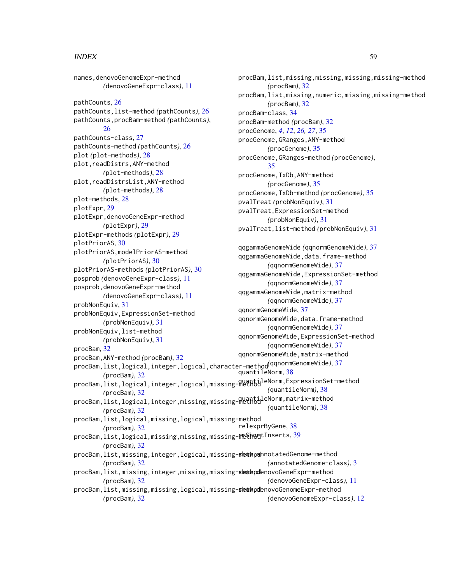#### INDEX 59

names,denovoGenomeExpr-method *(*denovoGeneExpr-class*)*, [11](#page-10-0) pathCounts, [26](#page-25-0) pathCounts,list-method *(*pathCounts*)*, [26](#page-25-0) pathCounts,procBam-method *(*pathCounts*)*, [26](#page-25-0) pathCounts-class, [27](#page-26-0) pathCounts-method *(*pathCounts*)*, [26](#page-25-0) plot *(*plot-methods*)*, [28](#page-27-0) plot,readDistrs,ANY-method *(*plot-methods*)*, [28](#page-27-0) plot,readDistrsList,ANY-method *(*plot-methods*)*, [28](#page-27-0) plot-methods, [28](#page-27-0) plotExpr, [29](#page-28-0) plotExpr,denovoGeneExpr-method *(*plotExpr*)*, [29](#page-28-0) plotExpr-methods *(*plotExpr*)*, [29](#page-28-0) plotPriorAS, [30](#page-29-0) plotPriorAS,modelPriorAS-method *(*plotPriorAS*)*, [30](#page-29-0) plotPriorAS-methods *(*plotPriorAS*)*, [30](#page-29-0) posprob *(*denovoGeneExpr-class*)*, [11](#page-10-0) posprob,denovoGeneExpr-method *(*denovoGeneExpr-class*)*, [11](#page-10-0) probNonEquiv, [31](#page-30-0) probNonEquiv,ExpressionSet-method *(*probNonEquiv*)*, [31](#page-30-0) probNonEquiv,list-method *(*probNonEquiv*)*, [31](#page-30-0) procBam, [32](#page-31-0) procBam,ANY-method *(*procBam*)*, [32](#page-31-0) procBam,list,logical,integer,logical,character-method *(*qqnormGenomeWide*)*, [37](#page-36-0) *(*procBam*)*, [32](#page-31-0) procBam,list,logical,integer,logical,missing-method quantileNorm,ExpressionSet-method *(*procBam*)*, [32](#page-31-0) procBam,list,logical,integer,missing,missing-method *(*procBam*)*, [32](#page-31-0) procBam,list,logical,missing,logical,missing-method *(*procBam*)*, [32](#page-31-0) procBam,list,logical,missing,missing,missing–meth0dtInserts,[39](#page-38-0) *(*procBam*)*, [32](#page-31-0) procBam,list,missing,integer,logical,missing-<mark>skethoa</mark>nnotatedGenome-method *(*procBam*)*, [32](#page-31-0) procBam,list,missing,integer,missing,missing**-skthod**enovoGeneExpr-method *(*procBam*)*, [32](#page-31-0) pvalTreat,list-method *(*probNonEquiv*)*, [31](#page-30-0) *(*annotatedGenome-class*)*, [3](#page-2-0)

procBam,list,missing,missing,logical,missing-**skowhod**enovoGenomeExpr-method *(*procBam*)*, [32](#page-31-0) *(*denovoGeneExpr-class*)*, [11](#page-10-0) *(*denovoGenomeExpr-class*)*, [12](#page-11-0)

procBam,list,missing,missing,missing,missing-method *(*procBam*)*, [32](#page-31-0) procBam,list,missing,numeric,missing,missing-method *(*procBam*)*, [32](#page-31-0) procBam-class, [34](#page-33-0) procBam-method *(*procBam*)*, [32](#page-31-0) procGenome, *[4](#page-3-0)*, *[12](#page-11-0)*, *[26,](#page-25-0) [27](#page-26-0)*, [35](#page-34-0) procGenome,GRanges,ANY-method *(*procGenome*)*, [35](#page-34-0) procGenome,GRanges-method *(*procGenome*)*, [35](#page-34-0) procGenome,TxDb,ANY-method *(*procGenome*)*, [35](#page-34-0) procGenome,TxDb-method *(*procGenome*)*, [35](#page-34-0) pvalTreat *(*probNonEquiv*)*, [31](#page-30-0) pvalTreat,ExpressionSet-method *(*probNonEquiv*)*, [31](#page-30-0)

qqgammaGenomeWide *(*qqnormGenomeWide*)*, [37](#page-36-0) qqgammaGenomeWide,data.frame-method *(*qqnormGenomeWide*)*, [37](#page-36-0) qqgammaGenomeWide,ExpressionSet-method *(*qqnormGenomeWide*)*, [37](#page-36-0) qqgammaGenomeWide,matrix-method *(*qqnormGenomeWide*)*, [37](#page-36-0) qqnormGenomeWide, [37](#page-36-0) qqnormGenomeWide,data.frame-method *(*qqnormGenomeWide*)*, [37](#page-36-0) qqnormGenomeWide,ExpressionSet-method *(*qqnormGenomeWide*)*, [37](#page-36-0) qqnormGenomeWide,matrix-method quantileNorm, [38](#page-37-0) *(*quantileNorm*)*, [38](#page-37-0) *(*quantileNorm*)*, [38](#page-37-0) relexprByGene, [38](#page-37-0)